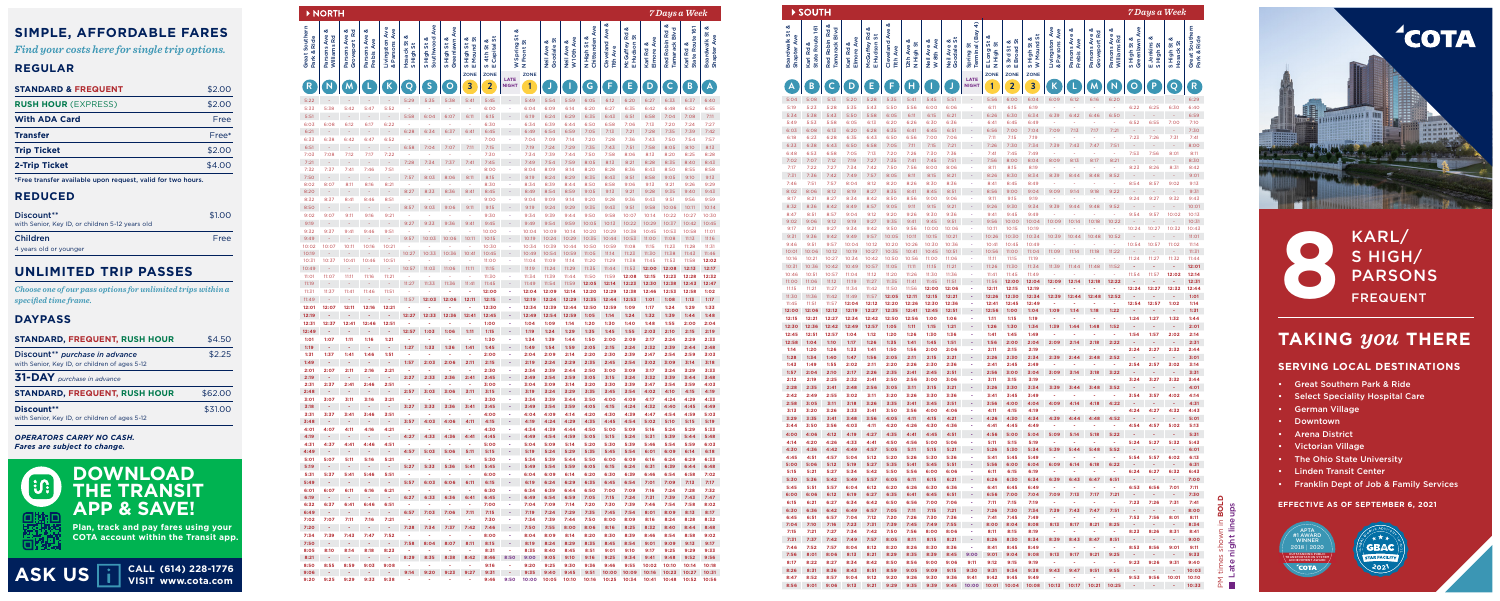| ಯ<br>Ave<br>Red Robin Rd &<br>Chittenden Ave<br>య<br>Ave<br>Route 161<br>య<br>Ave<br>Tamarack Blvd<br>Cleveland Ave<br>య<br>య<br>Groveport Rd<br>య<br>& Parsons Ave<br>య<br>5<br>Rd<br>Parsons Ave<br>Parsons Ave<br>5<br>5<br>Boardwalk St<br>Shapter Ave<br>Ave<br>Williams Rd<br>య<br>Ave<br>Park & Ride<br>Southwood<br>ö<br>W 10th Ave<br>య<br>5,<br>య<br>య<br>S High St &<br>Greenlawn<br>5<br>Frebis Ave<br>Livingston<br>య<br>Front St<br>య<br>Neil Ave &<br>ö<br>Spring:<br>N High St<br>McGuffey<br>E Hudson<br>Hosack St<br>S High St<br>S High St<br>Capital<br>Karl Rd &<br>ಳ<br>ö<br>Mound<br>Goodale<br>ä<br>Parsons<br>Neil Ave<br><b>11th Ave</b><br>Karl Rd<br><b>Elmore</b><br>High<br>4th<br>State<br>≷<br>$\mathbf{z}$<br><b>S</b> ⊡<br>w m<br><b>ZONE</b><br><b>ZONE</b><br><b>ZONE</b><br>LATE<br>S<br>E<br>$\mathsf{C}$<br>$\blacktriangle$<br>${\sf N}$<br>K<br>$\overline{\mathsf{Q}}$<br>3<br>$\overline{\mathbf{2}}$<br>${\mathsf G}$<br>F<br>D<br>B<br>M<br>$\circ$<br>1<br><b>NIGHT</b><br>J<br>5:29<br>5:35<br>5:38<br>5:41<br>5:45<br>5:49<br>5:54<br>5:59<br>6:05<br>6:12<br>6:20<br>6:27<br>6:33<br>6:37<br>6:40<br>5:38<br>5:42<br>5:47<br>5:52<br>6:00<br>6:04<br>6:09<br>6:14<br>6:20<br>6:27<br>6:35<br>6:42<br>6:48<br>6:52<br>6:55<br>5:58<br>6:04<br>6:07<br>6:11<br>6:19<br>6:24<br>6:29<br>6:35<br>6:43<br>6:51<br>6:58<br>7:04<br>7:08<br>7:11<br>6:15<br>÷<br>٠<br>6:03<br>6:08<br>6:12<br>6:17<br>6:22<br>6:30<br>6:34<br>6:39<br>6:50<br>6:58<br>7:06<br>7:13<br>7:20<br>7:24<br>7:27<br>×,<br>6:44<br>ч.<br>٠<br>٠<br>٠<br>6:34<br>6:49<br>6:54<br>7:13<br>7:28<br>7:35<br>7:39<br>7:42<br>6:28<br>6:37<br>6:41<br>6:45<br>6:59<br>7:05<br>7:21<br>6:52<br>7:00<br>6:38<br>6:42<br>6:47<br>7:04<br>7:09<br>7:14<br>7:20<br>7:28<br>7:36<br>7:43<br>7:50<br>7:54<br>7:57<br>٠<br>6:51<br>6:58<br>7:04<br>7:07<br>7:15<br>7:19<br>7:24<br>7:29<br>7:35<br>7:43<br>7:51<br>7:58<br>8:05<br>8:10<br>8:13<br>7:11<br>7:30<br>7:08<br>7:12<br>7:17<br>7:22<br>7:34<br>7:39<br>7:44<br>7:50<br>7:58<br>8:06<br>8:13<br>8:20<br>8:25<br>8:28<br>7:28<br>7:34<br>7:37<br>7:41<br>7:45<br>7:54<br>7:59<br>8:05<br>8:13<br>8:21<br>8:28<br>8:35<br>8:40<br>8:43<br>7:49<br>7:32<br>7:37<br>7:41<br>7:46<br>7:51<br>8:00<br>8:04<br>8:09<br>8:14<br>8:20<br>8:28<br>8:36<br>8:43<br>8:50<br>8:55<br>8:58<br>8:06<br>7:57<br>8:03<br>8:11<br>8:15<br>8:19<br>8:43<br>8:58<br>9:05<br>9:10<br>9:13<br>8:24<br>8:29<br>8:35<br>8:51<br>8:11<br>8:16<br>8:21<br>8:30<br>8:07<br>8:34<br>8:39<br>8:44<br>8:50<br>8:58<br>9:06<br>9:13<br>9:21<br>9:26<br>9:29<br>×<br>٠<br>8:20<br>8:27<br>8:33<br>8:36<br>8:45<br>8:49<br>8:54<br>8:59<br>9:05<br>9:13<br>9:28<br>9:35<br>9:40<br>9:43<br>8:41<br>9:21<br>8:37<br>8:41<br>8:46<br>8:51<br>9:00<br>9:04<br>9:09<br>9:14<br>9:36<br>9:43<br>9:51<br>9:56<br>9:59<br>9:20<br>9:28<br>×<br>ч.<br>٠<br>٠<br>8:57<br>9:03<br>9:06<br>9:11<br>9:15<br>9:19<br>9:24<br>9:29<br>9:35<br>9:43<br>9:51<br>9:58<br>10:06<br>10:11<br>10:14<br>9:07<br>9:11<br>9:16<br>9:21<br>9:30<br>9:34<br>9:39<br>9:44<br>9:50<br>9:58<br>10:07<br>10:14<br>10:22<br>10:27<br>10:30<br>×<br>×<br>×<br>9:19<br>9:27<br>9:33<br>9:49<br>9:54<br>9:59<br>10:05<br>10:13<br>10:22<br>10:29<br>10:37<br>10:42<br>10:45<br>9:36<br>9:41<br>9:45<br>9:37<br>9:41<br>9:51<br>10:00<br>10:04<br>10:09<br>10:14<br>10:20<br>10:29<br>10:38<br>10:45<br>10:53<br>10:58<br>11:01<br>9:46<br>ч.<br>٠<br>10:03<br>10:06<br>10:11<br>10:15<br>10:19<br>10:24<br>10:29<br>10:35<br>10:44<br>10:53<br>11:00<br>11:08<br>11:13<br>9:57<br>11:16<br>10:07<br>10:11<br>10:16<br>10:21<br>10:30<br>10:34<br>10:39<br>10:44<br>10:50<br>10:59<br>11:08<br>11:15<br>11:23<br>11:28<br>11:31<br>10:02<br>×<br>×<br>10:27<br>10:36<br>10:41<br>10:45<br>10:49<br>10:54<br>10:59<br>11:05<br>11:14<br>11:23<br>11:30<br>11:38<br>11:43<br>11:46<br>10:33<br>10:41<br>10:51<br>11:00<br>11:04<br>11:09<br>11:14<br>11:20<br>11:38<br>11:45<br>11:53<br>10:37<br>10:46<br>11:29<br>11:58<br>12:02<br>10:57<br>11:03<br>11:06<br>11:11<br>11:35<br>11:53<br>12:08<br>12:17<br>11:15<br>11:19<br>11:24<br>11:29<br>11:44<br>12:00<br>12:13<br>11:11<br>11:34<br>11:07<br>11:16<br>11:21<br>11:30<br>×<br>11:39<br>11:44<br>11:50<br>11:59<br>12:08<br>12:15<br>12:23<br>12:28<br>12:32<br>×<br>×<br>11:27<br>11:33<br>11:36<br>11:41<br>11:45<br>11:49<br>11:54<br>11:59<br>12:05<br>12:14<br>12:23<br>12:30<br>12:38<br>12:43<br>12:47<br>11:37<br>11:41<br>11:46<br>11:51<br>12:00<br>12:04<br>12:09<br>12:14<br>12:20<br>12:29<br>12:38<br>12:53<br>12:58<br>1:02<br>ł,<br>12:46<br>11:57<br>12:03<br>12:06<br>12:11<br>1:17<br>11:49<br>12:15<br>12:19<br>12:24<br>12:29<br>12:35<br>12:44<br>12:53<br>1:08<br>1:13<br>1:01<br>٠<br>12:07<br>12:11<br>12:21<br>12:30<br>12:34<br>12:39<br>1:24<br>1:29<br>1:33<br>12:16<br>×<br>×<br>12:44<br>12:50<br>12:59<br>1:09<br>1:17<br>×<br>12:45<br>12:49<br>12:54<br>1:39<br>1:44<br>1:48<br>12:27<br>12:33<br>12:36<br>12:41<br>12:59<br>1:05<br>1:14<br>1:24<br>1:32<br>12:51<br>1:00<br>2:00<br>12:37<br>12:41<br>12:46<br>×.<br>1:04<br>1:09<br>1:14<br>1:20<br>1:30<br>1:40<br>1:48<br>1:55<br>2:04<br>÷<br>٠<br>٠<br>12:57<br>1:03<br>1:06<br>1:11<br>1:15<br>1:19<br>1:24<br>1:29<br>1:35<br>1:55<br>2:03<br>2:10<br>2:15<br>2:19<br>1:45<br>1:07<br>1:11<br>1:16<br>1:21<br>1:30<br>1:34<br>1:39<br>1:44<br>1:50<br>2:00<br>2:09<br>2:17<br>2:24<br>2:29<br>2:33<br>ä,<br>×.<br>×,<br>×,<br>1:27<br>1:33<br>1:36<br>1:41<br>1:45<br>1:49<br>1:54<br>1:59<br>2:05<br>2:24<br>2:32<br>2:39<br>2:44<br>2:48<br>2:15<br>1:37<br>1:41<br>1:46<br>1:51<br>2:00<br>2:04<br>2:09<br>2:39<br>2:47<br>2:54<br>2:59<br>3:03<br>1:31<br>÷<br>×.<br>2:14<br>2:20<br>2:30<br>×<br>٠<br>1:57<br>2:03<br>2:06<br>2:11<br>2:19<br>2:24<br>2:35<br>2:54<br>3:09<br>3:14<br>3:18<br>2:15<br>2:29<br>2:45<br>3:02<br>÷<br>2:11<br>2:16<br>2:21<br>2:30<br>3:33<br>2:07<br>÷<br>2:34<br>2:39<br>2:44<br>2:50<br>3:00<br>3:09<br>3:17<br>3:24<br>3:29<br>$\sim$<br>٠<br>÷<br>2:33<br>2:49<br>3:48<br>2:27<br>2:36<br>2:41<br>2:45<br>2:54<br>2:59<br>3:05<br>3:15<br>3:24<br>3:32<br>3:39<br>3:44<br>٠<br>2:51<br>2:37<br>2:41<br>2:46<br>3:00<br>×<br>3:04<br>3:09<br>3:14<br>3:20<br>3:30<br>3:39<br>3:47<br>3:54<br>3:59<br>4:03<br>×<br>2:57<br>3:03<br>3:06<br>3:11<br>3:15<br>3:19<br>3:24<br>3:29<br>3:35<br>3:45<br>3:54<br>4:02<br>4:10<br>4:15<br>4:19<br>ч.<br>3:07<br>3:11<br>3:16<br>3:21<br>3:30<br>3:34<br>4:09<br>4:24<br>4:29<br>4:33<br>3:01<br>$\sim$<br>÷<br>×,<br>÷<br>3:39<br>3:44<br>3:50<br>4:00<br>4:17<br>3:33<br>3:27<br>3:36<br>3:41<br>3:45<br>3:49<br>3:54<br>3:59<br>4:05<br>4:15<br>4:24<br>4:32<br>4:40<br>4:45<br>4:49<br>3:37<br>3:41<br>3:46<br>3:51<br>4:00<br>4:04<br>4:09<br>4:14<br>4:20<br>4:30<br>4:39<br>4:47<br>4:54<br>4:59<br>5:03<br>÷<br>٠<br>4:03<br>4:15<br>4:19<br>4:24<br>4:54<br>5:10<br>5:15<br>5:19<br>3:57<br>4:06<br>4:11<br>4:29<br>4:35<br>4:45<br>5:02<br>4:30<br>4:39<br>4:50<br>5:00<br>5:09<br>5:16<br>5:24<br>5:29<br>5:33<br>4:01<br>4:07<br>4:11<br>4:16<br>4:21<br>×<br>4:34<br>4:44<br>٠<br>4:27<br>4:33<br>4:36<br>4:45<br>4:49<br>4:54<br>4:59<br>5:05<br>5:24<br>5:39<br>5:44<br>5:48<br>4:41<br>5:15<br>5:31<br>4:51<br>4:37<br>4:41<br>4:46<br>$\sim$<br>×.<br>×.<br>5:00<br>÷<br>5:04<br>5:09<br>5:14<br>5:20<br>5:30<br>5:39<br>5:46<br>5:54<br>5:59<br>6:03<br>٠<br>4:49<br>4:57<br>5:03<br>5:06<br>5:15<br>6:09<br>6:18<br>5:11<br>5:19<br>5:24<br>5:29<br>5:35<br>5:45<br>5:54<br>6:01<br>6:14<br>$\sim$<br>٠<br>٠<br>٠<br>٠<br>5:30<br>5:07<br>5:11<br>5:16<br>5:21<br>5:34<br>6:24<br>6:29<br>6:33<br>٠<br>$\sim$<br>×.<br>÷<br>٠<br>5:39<br>5:44<br>5:50<br>6:00<br>6:09<br>6:16<br>5:27<br>5:33<br>5:36<br>5:41<br>5:45<br>5:49<br>5:54<br>5:59<br>6:05<br>6:15<br>6:24<br>6:31<br>6:39<br>6:44<br>6:48<br>5:31<br>5:37<br>5:41<br>5:46<br>5:51<br>6:00<br>7:02<br>×<br>6:04<br>6:09<br>6:14<br>6:20<br>6:30<br>6:39<br>6:54<br>6:58<br>٠<br>$\sim$<br>$\sim$<br>٠<br>6:46<br>5:57<br>6:06<br>÷<br>6:03<br>6:11<br>6:15<br>6:19<br>6:24<br>6:29<br>6:35<br>6:45<br>6:54<br>7:01<br>7:09<br>7:13<br>7:17<br>$\overline{\phantom{a}}$<br>$\overline{\phantom{a}}$<br>٠<br>6:07<br>6:11<br>6:16<br>6:21<br>×<br>×<br>6:30<br>×<br>6:34<br>6:39<br>6:44<br>6:50<br>7:00<br>7:09<br>7:16<br>7:24<br>7:28<br>7:32<br>٠<br>÷<br>6:27<br>7:39<br>7:47<br>6:33<br>6:36<br>6:41<br>6:45<br>6:49<br>6:54<br>6:59<br>7:05<br>7:15<br>7:24<br>7:31<br>7:43<br>6:37<br>6:41<br>6:46<br>6:51<br>÷<br>7:00<br>7:04<br>7:09<br>7:39<br>7:54<br>8:02<br>×<br>×<br>÷<br>7:14<br>7:20<br>7:30<br>7:46<br>7:58<br>٠<br>÷<br>÷<br>÷<br>6:57<br>7:03<br>7:06<br>7:11<br>7:15<br>7:19<br>7:24<br>7:29<br>7:35<br>7:45<br>7:54<br>8:01<br>8:09<br>8:13<br>8:17<br>7:30<br>7:34<br>8:32<br>7:07<br>7:11<br>7:16<br>7:21<br>×.<br>×,<br>$\sim$<br>×.<br>÷<br>7:39<br>7:44<br>7:50<br>8:00<br>8:09<br>8:16<br>8:24<br>8:28<br>7:20<br>÷,<br>÷<br>7:28<br>7:34<br>7:37<br>7:42<br>7:46<br>7:50<br>7:55<br>8:00<br>8:06<br>8:16<br>8:25<br>8:32<br>8:40<br>8:44<br>8:48<br>$\blacksquare$<br>٠<br>٠<br>7:52<br>8:00<br>9:02<br>7:39<br>7:43<br>7:47<br>8:04<br>8:09<br>8:20<br>8:30<br>8:39<br>8:54<br>8:58<br>٠<br>$\sim$<br>×.<br>÷<br>٠<br>8:14<br>8:46<br>7:58<br>8:04<br>8:07<br>8:11<br>÷<br>8:15<br>8:19<br>8:24<br>8:29<br>8:35<br>8:45<br>8:54<br>9:01<br>9:09<br>9:13<br>9:17<br>÷<br>٠<br>8:05<br>8:10<br>8:18<br>8:23<br>8:31<br>÷<br>8:35<br>9:25<br>9:29<br>9:33<br>8:14<br>×,<br>×,<br>×.<br>8:40<br>8:45<br>8:51<br>9:01<br>9:10<br>9:17<br>٠<br>9:56<br>8:29<br>8:35<br>8:38<br>8:42<br>8:46<br>8:50<br>9:00<br>9:34<br>9:48<br>9:52<br>÷,<br>$\blacksquare$<br>Ξ<br>9:05<br>9:10<br>9:16<br>9:25<br>9:41<br>٠<br>8:55<br>8:59<br>9:03<br>9:08<br>÷<br>9:16<br>9:20<br>9:25<br>9:30<br>10:02<br>10:10<br>10:14<br>10:18<br>×<br>$\sim$<br>٠<br>9:36<br>9:46<br>9:55<br>9:06<br>9:14<br>9:20<br>9:23<br>9:27<br>9:31<br>9:35<br>9:40<br>9:45<br>9:51<br>10:00<br>10:09<br>10:16<br>10:23<br>10:27<br>10:31<br>$\sim$<br>9:25<br>9:29<br>9:33<br>9:38<br>9:46<br>9:50<br>10:00<br>10:05<br>10:52<br>10:56<br>٠<br>10:10<br>10:16<br>10:25<br>10:34<br>10:41<br>10:48<br>٠<br>٠<br>٠ |                | <b>NORTH</b> |  |  |  |  |  |  |  |  | 7 Days a Week |  |
|-------------------------------------------------------------------------------------------------------------------------------------------------------------------------------------------------------------------------------------------------------------------------------------------------------------------------------------------------------------------------------------------------------------------------------------------------------------------------------------------------------------------------------------------------------------------------------------------------------------------------------------------------------------------------------------------------------------------------------------------------------------------------------------------------------------------------------------------------------------------------------------------------------------------------------------------------------------------------------------------------------------------------------------------------------------------------------------------------------------------------------------------------------------------------------------------------------------------------------------------------------------------------------------------------------------------------------------------------------------------------------------------------------------------------------------------------------------------------------------------------------------------------------------------------------------------------------------------------------------------------------------------------------------------------------------------------------------------------------------------------------------------------------------------------------------------------------------------------------------------------------------------------------------------------------------------------------------------------------------------------------------------------------------------------------------------------------------------------------------------------------------------------------------------------------------------------------------------------------------------------------------------------------------------------------------------------------------------------------------------------------------------------------------------------------------------------------------------------------------------------------------------------------------------------------------------------------------------------------------------------------------------------------------------------------------------------------------------------------------------------------------------------------------------------------------------------------------------------------------------------------------------------------------------------------------------------------------------------------------------------------------------------------------------------------------------------------------------------------------------------------------------------------------------------------------------------------------------------------------------------------------------------------------------------------------------------------------------------------------------------------------------------------------------------------------------------------------------------------------------------------------------------------------------------------------------------------------------------------------------------------------------------------------------------------------------------------------------------------------------------------------------------------------------------------------------------------------------------------------------------------------------------------------------------------------------------------------------------------------------------------------------------------------------------------------------------------------------------------------------------------------------------------------------------------------------------------------------------------------------------------------------------------------------------------------------------------------------------------------------------------------------------------------------------------------------------------------------------------------------------------------------------------------------------------------------------------------------------------------------------------------------------------------------------------------------------------------------------------------------------------------------------------------------------------------------------------------------------------------------------------------------------------------------------------------------------------------------------------------------------------------------------------------------------------------------------------------------------------------------------------------------------------------------------------------------------------------------------------------------------------------------------------------------------------------------------------------------------------------------------------------------------------------------------------------------------------------------------------------------------------------------------------------------------------------------------------------------------------------------------------------------------------------------------------------------------------------------------------------------------------------------------------------------------------------------------------------------------------------------------------------------------------------------------------------------------------------------------------------------------------------------------------------------------------------------------------------------------------------------------------------------------------------------------------------------------------------------------------------------------------------------------------------------------------------------------------------------------------------------------------------------------------------------------------------------------------------------------------------------------------------------------------------------------------------------------------------------------------------------------------------------------------------------------------------------------------------------------------------------------------------------------------------------------------------------------------------------------------------------------------------------------------------------------------------------------------------------------------------------------------------------------------------------------------------------------------------------------------------------------------------------------------------------------------------------------------------------------------------------------------------------------------------------------------------------------------------------------------------------------------------------------------------------------------------------------------------------------------------------------------------------------------------------------------------------------------------------------------------------------------------------------------------------------------------------------------------------------------------------------------------------------------------------------------------------------------------------------------------------------------------------------------------------------------------------------------------------------------------------------------------------------------------------------------------------------------------------------------------------------------------------------------------------------------------------------------------------------------------------------------------------------------------------------------------------------------------------------------------------------------------------------------------------------------------------------------------------------------------------------------------------------------------------------------------------------------------------------------------------------------------------------------------------------------------------------------------------------------------------------------------------------------------------------------------------------------------------------------------------------------------------------------------------------------------------------------------------------------------------------------------------------------------------------------------------------------------------------------------------------------------------------------------------------------------------------------------------------------------------------------------------------------------------------------------------------------------------------------------------------------------------------------------------------------------------------------------------------------------------------------------------------------------------------------------------------------------------------------------------------------------------------------------------------------------------------------------------------------------------------------------------------------------------------------------------------------------------------------------------------------------------------------------------------------------------------------------------------------------------------------------------------------------------------------------------------------------------------------------------------------------------------------------------------------------------------------------------|----------------|--------------|--|--|--|--|--|--|--|--|---------------|--|
|                                                                                                                                                                                                                                                                                                                                                                                                                                                                                                                                                                                                                                                                                                                                                                                                                                                                                                                                                                                                                                                                                                                                                                                                                                                                                                                                                                                                                                                                                                                                                                                                                                                                                                                                                                                                                                                                                                                                                                                                                                                                                                                                                                                                                                                                                                                                                                                                                                                                                                                                                                                                                                                                                                                                                                                                                                                                                                                                                                                                                                                                                                                                                                                                                                                                                                                                                                                                                                                                                                                                                                                                                                                                                                                                                                                                                                                                                                                                                                                                                                                                                                                                                                                                                                                                                                                                                                                                                                                                                                                                                                                                                                                                                                                                                                                                                                                                                                                                                                                                                                                                                                                                                                                                                                                                                                                                                                                                                                                                                                                                                                                                                                                                                                                                                                                                                                                                                                                                                                                                                                                                                                                                                                                                                                                                                                                                                                                                                                                                                                                                                                                                                                                                                                                                                                                                                                                                                                                                                                                                                                                                                                                                                                                                                                                                                                                                                                                                                                                                                                                                                                                                                                                                                                                                                                                                                                                                                                                                                                                                                                                                                                                                                                                                                                                                                                                                                                                                                                                                                                                                                                                                                                                                                                                                                                                                                                                                                                                                                                                                                                                                                                                                                                                                                                                                                                                                                                                                                                                                                                                                                                                                                                                                                                                                                                                                                                                                                                                                                                                                                                                                                                                                                                                                                   | Great Southern |              |  |  |  |  |  |  |  |  |               |  |
|                                                                                                                                                                                                                                                                                                                                                                                                                                                                                                                                                                                                                                                                                                                                                                                                                                                                                                                                                                                                                                                                                                                                                                                                                                                                                                                                                                                                                                                                                                                                                                                                                                                                                                                                                                                                                                                                                                                                                                                                                                                                                                                                                                                                                                                                                                                                                                                                                                                                                                                                                                                                                                                                                                                                                                                                                                                                                                                                                                                                                                                                                                                                                                                                                                                                                                                                                                                                                                                                                                                                                                                                                                                                                                                                                                                                                                                                                                                                                                                                                                                                                                                                                                                                                                                                                                                                                                                                                                                                                                                                                                                                                                                                                                                                                                                                                                                                                                                                                                                                                                                                                                                                                                                                                                                                                                                                                                                                                                                                                                                                                                                                                                                                                                                                                                                                                                                                                                                                                                                                                                                                                                                                                                                                                                                                                                                                                                                                                                                                                                                                                                                                                                                                                                                                                                                                                                                                                                                                                                                                                                                                                                                                                                                                                                                                                                                                                                                                                                                                                                                                                                                                                                                                                                                                                                                                                                                                                                                                                                                                                                                                                                                                                                                                                                                                                                                                                                                                                                                                                                                                                                                                                                                                                                                                                                                                                                                                                                                                                                                                                                                                                                                                                                                                                                                                                                                                                                                                                                                                                                                                                                                                                                                                                                                                                                                                                                                                                                                                                                                                                                                                                                                                                                                                                   | $\overline{R}$ |              |  |  |  |  |  |  |  |  |               |  |
|                                                                                                                                                                                                                                                                                                                                                                                                                                                                                                                                                                                                                                                                                                                                                                                                                                                                                                                                                                                                                                                                                                                                                                                                                                                                                                                                                                                                                                                                                                                                                                                                                                                                                                                                                                                                                                                                                                                                                                                                                                                                                                                                                                                                                                                                                                                                                                                                                                                                                                                                                                                                                                                                                                                                                                                                                                                                                                                                                                                                                                                                                                                                                                                                                                                                                                                                                                                                                                                                                                                                                                                                                                                                                                                                                                                                                                                                                                                                                                                                                                                                                                                                                                                                                                                                                                                                                                                                                                                                                                                                                                                                                                                                                                                                                                                                                                                                                                                                                                                                                                                                                                                                                                                                                                                                                                                                                                                                                                                                                                                                                                                                                                                                                                                                                                                                                                                                                                                                                                                                                                                                                                                                                                                                                                                                                                                                                                                                                                                                                                                                                                                                                                                                                                                                                                                                                                                                                                                                                                                                                                                                                                                                                                                                                                                                                                                                                                                                                                                                                                                                                                                                                                                                                                                                                                                                                                                                                                                                                                                                                                                                                                                                                                                                                                                                                                                                                                                                                                                                                                                                                                                                                                                                                                                                                                                                                                                                                                                                                                                                                                                                                                                                                                                                                                                                                                                                                                                                                                                                                                                                                                                                                                                                                                                                                                                                                                                                                                                                                                                                                                                                                                                                                                                                                   | 5:22           |              |  |  |  |  |  |  |  |  |               |  |
|                                                                                                                                                                                                                                                                                                                                                                                                                                                                                                                                                                                                                                                                                                                                                                                                                                                                                                                                                                                                                                                                                                                                                                                                                                                                                                                                                                                                                                                                                                                                                                                                                                                                                                                                                                                                                                                                                                                                                                                                                                                                                                                                                                                                                                                                                                                                                                                                                                                                                                                                                                                                                                                                                                                                                                                                                                                                                                                                                                                                                                                                                                                                                                                                                                                                                                                                                                                                                                                                                                                                                                                                                                                                                                                                                                                                                                                                                                                                                                                                                                                                                                                                                                                                                                                                                                                                                                                                                                                                                                                                                                                                                                                                                                                                                                                                                                                                                                                                                                                                                                                                                                                                                                                                                                                                                                                                                                                                                                                                                                                                                                                                                                                                                                                                                                                                                                                                                                                                                                                                                                                                                                                                                                                                                                                                                                                                                                                                                                                                                                                                                                                                                                                                                                                                                                                                                                                                                                                                                                                                                                                                                                                                                                                                                                                                                                                                                                                                                                                                                                                                                                                                                                                                                                                                                                                                                                                                                                                                                                                                                                                                                                                                                                                                                                                                                                                                                                                                                                                                                                                                                                                                                                                                                                                                                                                                                                                                                                                                                                                                                                                                                                                                                                                                                                                                                                                                                                                                                                                                                                                                                                                                                                                                                                                                                                                                                                                                                                                                                                                                                                                                                                                                                                                                                   | 5:33           |              |  |  |  |  |  |  |  |  |               |  |
|                                                                                                                                                                                                                                                                                                                                                                                                                                                                                                                                                                                                                                                                                                                                                                                                                                                                                                                                                                                                                                                                                                                                                                                                                                                                                                                                                                                                                                                                                                                                                                                                                                                                                                                                                                                                                                                                                                                                                                                                                                                                                                                                                                                                                                                                                                                                                                                                                                                                                                                                                                                                                                                                                                                                                                                                                                                                                                                                                                                                                                                                                                                                                                                                                                                                                                                                                                                                                                                                                                                                                                                                                                                                                                                                                                                                                                                                                                                                                                                                                                                                                                                                                                                                                                                                                                                                                                                                                                                                                                                                                                                                                                                                                                                                                                                                                                                                                                                                                                                                                                                                                                                                                                                                                                                                                                                                                                                                                                                                                                                                                                                                                                                                                                                                                                                                                                                                                                                                                                                                                                                                                                                                                                                                                                                                                                                                                                                                                                                                                                                                                                                                                                                                                                                                                                                                                                                                                                                                                                                                                                                                                                                                                                                                                                                                                                                                                                                                                                                                                                                                                                                                                                                                                                                                                                                                                                                                                                                                                                                                                                                                                                                                                                                                                                                                                                                                                                                                                                                                                                                                                                                                                                                                                                                                                                                                                                                                                                                                                                                                                                                                                                                                                                                                                                                                                                                                                                                                                                                                                                                                                                                                                                                                                                                                                                                                                                                                                                                                                                                                                                                                                                                                                                                                                   | 5:51           |              |  |  |  |  |  |  |  |  |               |  |
|                                                                                                                                                                                                                                                                                                                                                                                                                                                                                                                                                                                                                                                                                                                                                                                                                                                                                                                                                                                                                                                                                                                                                                                                                                                                                                                                                                                                                                                                                                                                                                                                                                                                                                                                                                                                                                                                                                                                                                                                                                                                                                                                                                                                                                                                                                                                                                                                                                                                                                                                                                                                                                                                                                                                                                                                                                                                                                                                                                                                                                                                                                                                                                                                                                                                                                                                                                                                                                                                                                                                                                                                                                                                                                                                                                                                                                                                                                                                                                                                                                                                                                                                                                                                                                                                                                                                                                                                                                                                                                                                                                                                                                                                                                                                                                                                                                                                                                                                                                                                                                                                                                                                                                                                                                                                                                                                                                                                                                                                                                                                                                                                                                                                                                                                                                                                                                                                                                                                                                                                                                                                                                                                                                                                                                                                                                                                                                                                                                                                                                                                                                                                                                                                                                                                                                                                                                                                                                                                                                                                                                                                                                                                                                                                                                                                                                                                                                                                                                                                                                                                                                                                                                                                                                                                                                                                                                                                                                                                                                                                                                                                                                                                                                                                                                                                                                                                                                                                                                                                                                                                                                                                                                                                                                                                                                                                                                                                                                                                                                                                                                                                                                                                                                                                                                                                                                                                                                                                                                                                                                                                                                                                                                                                                                                                                                                                                                                                                                                                                                                                                                                                                                                                                                                                                   | 6:21           |              |  |  |  |  |  |  |  |  |               |  |
|                                                                                                                                                                                                                                                                                                                                                                                                                                                                                                                                                                                                                                                                                                                                                                                                                                                                                                                                                                                                                                                                                                                                                                                                                                                                                                                                                                                                                                                                                                                                                                                                                                                                                                                                                                                                                                                                                                                                                                                                                                                                                                                                                                                                                                                                                                                                                                                                                                                                                                                                                                                                                                                                                                                                                                                                                                                                                                                                                                                                                                                                                                                                                                                                                                                                                                                                                                                                                                                                                                                                                                                                                                                                                                                                                                                                                                                                                                                                                                                                                                                                                                                                                                                                                                                                                                                                                                                                                                                                                                                                                                                                                                                                                                                                                                                                                                                                                                                                                                                                                                                                                                                                                                                                                                                                                                                                                                                                                                                                                                                                                                                                                                                                                                                                                                                                                                                                                                                                                                                                                                                                                                                                                                                                                                                                                                                                                                                                                                                                                                                                                                                                                                                                                                                                                                                                                                                                                                                                                                                                                                                                                                                                                                                                                                                                                                                                                                                                                                                                                                                                                                                                                                                                                                                                                                                                                                                                                                                                                                                                                                                                                                                                                                                                                                                                                                                                                                                                                                                                                                                                                                                                                                                                                                                                                                                                                                                                                                                                                                                                                                                                                                                                                                                                                                                                                                                                                                                                                                                                                                                                                                                                                                                                                                                                                                                                                                                                                                                                                                                                                                                                                                                                                                                                                   | 6:33           |              |  |  |  |  |  |  |  |  |               |  |
|                                                                                                                                                                                                                                                                                                                                                                                                                                                                                                                                                                                                                                                                                                                                                                                                                                                                                                                                                                                                                                                                                                                                                                                                                                                                                                                                                                                                                                                                                                                                                                                                                                                                                                                                                                                                                                                                                                                                                                                                                                                                                                                                                                                                                                                                                                                                                                                                                                                                                                                                                                                                                                                                                                                                                                                                                                                                                                                                                                                                                                                                                                                                                                                                                                                                                                                                                                                                                                                                                                                                                                                                                                                                                                                                                                                                                                                                                                                                                                                                                                                                                                                                                                                                                                                                                                                                                                                                                                                                                                                                                                                                                                                                                                                                                                                                                                                                                                                                                                                                                                                                                                                                                                                                                                                                                                                                                                                                                                                                                                                                                                                                                                                                                                                                                                                                                                                                                                                                                                                                                                                                                                                                                                                                                                                                                                                                                                                                                                                                                                                                                                                                                                                                                                                                                                                                                                                                                                                                                                                                                                                                                                                                                                                                                                                                                                                                                                                                                                                                                                                                                                                                                                                                                                                                                                                                                                                                                                                                                                                                                                                                                                                                                                                                                                                                                                                                                                                                                                                                                                                                                                                                                                                                                                                                                                                                                                                                                                                                                                                                                                                                                                                                                                                                                                                                                                                                                                                                                                                                                                                                                                                                                                                                                                                                                                                                                                                                                                                                                                                                                                                                                                                                                                                                                   | 7:03           |              |  |  |  |  |  |  |  |  |               |  |
|                                                                                                                                                                                                                                                                                                                                                                                                                                                                                                                                                                                                                                                                                                                                                                                                                                                                                                                                                                                                                                                                                                                                                                                                                                                                                                                                                                                                                                                                                                                                                                                                                                                                                                                                                                                                                                                                                                                                                                                                                                                                                                                                                                                                                                                                                                                                                                                                                                                                                                                                                                                                                                                                                                                                                                                                                                                                                                                                                                                                                                                                                                                                                                                                                                                                                                                                                                                                                                                                                                                                                                                                                                                                                                                                                                                                                                                                                                                                                                                                                                                                                                                                                                                                                                                                                                                                                                                                                                                                                                                                                                                                                                                                                                                                                                                                                                                                                                                                                                                                                                                                                                                                                                                                                                                                                                                                                                                                                                                                                                                                                                                                                                                                                                                                                                                                                                                                                                                                                                                                                                                                                                                                                                                                                                                                                                                                                                                                                                                                                                                                                                                                                                                                                                                                                                                                                                                                                                                                                                                                                                                                                                                                                                                                                                                                                                                                                                                                                                                                                                                                                                                                                                                                                                                                                                                                                                                                                                                                                                                                                                                                                                                                                                                                                                                                                                                                                                                                                                                                                                                                                                                                                                                                                                                                                                                                                                                                                                                                                                                                                                                                                                                                                                                                                                                                                                                                                                                                                                                                                                                                                                                                                                                                                                                                                                                                                                                                                                                                                                                                                                                                                                                                                                                                                   | 7:21           |              |  |  |  |  |  |  |  |  |               |  |
|                                                                                                                                                                                                                                                                                                                                                                                                                                                                                                                                                                                                                                                                                                                                                                                                                                                                                                                                                                                                                                                                                                                                                                                                                                                                                                                                                                                                                                                                                                                                                                                                                                                                                                                                                                                                                                                                                                                                                                                                                                                                                                                                                                                                                                                                                                                                                                                                                                                                                                                                                                                                                                                                                                                                                                                                                                                                                                                                                                                                                                                                                                                                                                                                                                                                                                                                                                                                                                                                                                                                                                                                                                                                                                                                                                                                                                                                                                                                                                                                                                                                                                                                                                                                                                                                                                                                                                                                                                                                                                                                                                                                                                                                                                                                                                                                                                                                                                                                                                                                                                                                                                                                                                                                                                                                                                                                                                                                                                                                                                                                                                                                                                                                                                                                                                                                                                                                                                                                                                                                                                                                                                                                                                                                                                                                                                                                                                                                                                                                                                                                                                                                                                                                                                                                                                                                                                                                                                                                                                                                                                                                                                                                                                                                                                                                                                                                                                                                                                                                                                                                                                                                                                                                                                                                                                                                                                                                                                                                                                                                                                                                                                                                                                                                                                                                                                                                                                                                                                                                                                                                                                                                                                                                                                                                                                                                                                                                                                                                                                                                                                                                                                                                                                                                                                                                                                                                                                                                                                                                                                                                                                                                                                                                                                                                                                                                                                                                                                                                                                                                                                                                                                                                                                                                                   | 7:50           |              |  |  |  |  |  |  |  |  |               |  |
|                                                                                                                                                                                                                                                                                                                                                                                                                                                                                                                                                                                                                                                                                                                                                                                                                                                                                                                                                                                                                                                                                                                                                                                                                                                                                                                                                                                                                                                                                                                                                                                                                                                                                                                                                                                                                                                                                                                                                                                                                                                                                                                                                                                                                                                                                                                                                                                                                                                                                                                                                                                                                                                                                                                                                                                                                                                                                                                                                                                                                                                                                                                                                                                                                                                                                                                                                                                                                                                                                                                                                                                                                                                                                                                                                                                                                                                                                                                                                                                                                                                                                                                                                                                                                                                                                                                                                                                                                                                                                                                                                                                                                                                                                                                                                                                                                                                                                                                                                                                                                                                                                                                                                                                                                                                                                                                                                                                                                                                                                                                                                                                                                                                                                                                                                                                                                                                                                                                                                                                                                                                                                                                                                                                                                                                                                                                                                                                                                                                                                                                                                                                                                                                                                                                                                                                                                                                                                                                                                                                                                                                                                                                                                                                                                                                                                                                                                                                                                                                                                                                                                                                                                                                                                                                                                                                                                                                                                                                                                                                                                                                                                                                                                                                                                                                                                                                                                                                                                                                                                                                                                                                                                                                                                                                                                                                                                                                                                                                                                                                                                                                                                                                                                                                                                                                                                                                                                                                                                                                                                                                                                                                                                                                                                                                                                                                                                                                                                                                                                                                                                                                                                                                                                                                                                   | 8:02           |              |  |  |  |  |  |  |  |  |               |  |
|                                                                                                                                                                                                                                                                                                                                                                                                                                                                                                                                                                                                                                                                                                                                                                                                                                                                                                                                                                                                                                                                                                                                                                                                                                                                                                                                                                                                                                                                                                                                                                                                                                                                                                                                                                                                                                                                                                                                                                                                                                                                                                                                                                                                                                                                                                                                                                                                                                                                                                                                                                                                                                                                                                                                                                                                                                                                                                                                                                                                                                                                                                                                                                                                                                                                                                                                                                                                                                                                                                                                                                                                                                                                                                                                                                                                                                                                                                                                                                                                                                                                                                                                                                                                                                                                                                                                                                                                                                                                                                                                                                                                                                                                                                                                                                                                                                                                                                                                                                                                                                                                                                                                                                                                                                                                                                                                                                                                                                                                                                                                                                                                                                                                                                                                                                                                                                                                                                                                                                                                                                                                                                                                                                                                                                                                                                                                                                                                                                                                                                                                                                                                                                                                                                                                                                                                                                                                                                                                                                                                                                                                                                                                                                                                                                                                                                                                                                                                                                                                                                                                                                                                                                                                                                                                                                                                                                                                                                                                                                                                                                                                                                                                                                                                                                                                                                                                                                                                                                                                                                                                                                                                                                                                                                                                                                                                                                                                                                                                                                                                                                                                                                                                                                                                                                                                                                                                                                                                                                                                                                                                                                                                                                                                                                                                                                                                                                                                                                                                                                                                                                                                                                                                                                                                                   | 8:32           |              |  |  |  |  |  |  |  |  |               |  |
|                                                                                                                                                                                                                                                                                                                                                                                                                                                                                                                                                                                                                                                                                                                                                                                                                                                                                                                                                                                                                                                                                                                                                                                                                                                                                                                                                                                                                                                                                                                                                                                                                                                                                                                                                                                                                                                                                                                                                                                                                                                                                                                                                                                                                                                                                                                                                                                                                                                                                                                                                                                                                                                                                                                                                                                                                                                                                                                                                                                                                                                                                                                                                                                                                                                                                                                                                                                                                                                                                                                                                                                                                                                                                                                                                                                                                                                                                                                                                                                                                                                                                                                                                                                                                                                                                                                                                                                                                                                                                                                                                                                                                                                                                                                                                                                                                                                                                                                                                                                                                                                                                                                                                                                                                                                                                                                                                                                                                                                                                                                                                                                                                                                                                                                                                                                                                                                                                                                                                                                                                                                                                                                                                                                                                                                                                                                                                                                                                                                                                                                                                                                                                                                                                                                                                                                                                                                                                                                                                                                                                                                                                                                                                                                                                                                                                                                                                                                                                                                                                                                                                                                                                                                                                                                                                                                                                                                                                                                                                                                                                                                                                                                                                                                                                                                                                                                                                                                                                                                                                                                                                                                                                                                                                                                                                                                                                                                                                                                                                                                                                                                                                                                                                                                                                                                                                                                                                                                                                                                                                                                                                                                                                                                                                                                                                                                                                                                                                                                                                                                                                                                                                                                                                                                                                   | 8:50           |              |  |  |  |  |  |  |  |  |               |  |
|                                                                                                                                                                                                                                                                                                                                                                                                                                                                                                                                                                                                                                                                                                                                                                                                                                                                                                                                                                                                                                                                                                                                                                                                                                                                                                                                                                                                                                                                                                                                                                                                                                                                                                                                                                                                                                                                                                                                                                                                                                                                                                                                                                                                                                                                                                                                                                                                                                                                                                                                                                                                                                                                                                                                                                                                                                                                                                                                                                                                                                                                                                                                                                                                                                                                                                                                                                                                                                                                                                                                                                                                                                                                                                                                                                                                                                                                                                                                                                                                                                                                                                                                                                                                                                                                                                                                                                                                                                                                                                                                                                                                                                                                                                                                                                                                                                                                                                                                                                                                                                                                                                                                                                                                                                                                                                                                                                                                                                                                                                                                                                                                                                                                                                                                                                                                                                                                                                                                                                                                                                                                                                                                                                                                                                                                                                                                                                                                                                                                                                                                                                                                                                                                                                                                                                                                                                                                                                                                                                                                                                                                                                                                                                                                                                                                                                                                                                                                                                                                                                                                                                                                                                                                                                                                                                                                                                                                                                                                                                                                                                                                                                                                                                                                                                                                                                                                                                                                                                                                                                                                                                                                                                                                                                                                                                                                                                                                                                                                                                                                                                                                                                                                                                                                                                                                                                                                                                                                                                                                                                                                                                                                                                                                                                                                                                                                                                                                                                                                                                                                                                                                                                                                                                                                                   | 9:02           |              |  |  |  |  |  |  |  |  |               |  |
|                                                                                                                                                                                                                                                                                                                                                                                                                                                                                                                                                                                                                                                                                                                                                                                                                                                                                                                                                                                                                                                                                                                                                                                                                                                                                                                                                                                                                                                                                                                                                                                                                                                                                                                                                                                                                                                                                                                                                                                                                                                                                                                                                                                                                                                                                                                                                                                                                                                                                                                                                                                                                                                                                                                                                                                                                                                                                                                                                                                                                                                                                                                                                                                                                                                                                                                                                                                                                                                                                                                                                                                                                                                                                                                                                                                                                                                                                                                                                                                                                                                                                                                                                                                                                                                                                                                                                                                                                                                                                                                                                                                                                                                                                                                                                                                                                                                                                                                                                                                                                                                                                                                                                                                                                                                                                                                                                                                                                                                                                                                                                                                                                                                                                                                                                                                                                                                                                                                                                                                                                                                                                                                                                                                                                                                                                                                                                                                                                                                                                                                                                                                                                                                                                                                                                                                                                                                                                                                                                                                                                                                                                                                                                                                                                                                                                                                                                                                                                                                                                                                                                                                                                                                                                                                                                                                                                                                                                                                                                                                                                                                                                                                                                                                                                                                                                                                                                                                                                                                                                                                                                                                                                                                                                                                                                                                                                                                                                                                                                                                                                                                                                                                                                                                                                                                                                                                                                                                                                                                                                                                                                                                                                                                                                                                                                                                                                                                                                                                                                                                                                                                                                                                                                                                                                   | 9:32           |              |  |  |  |  |  |  |  |  |               |  |
|                                                                                                                                                                                                                                                                                                                                                                                                                                                                                                                                                                                                                                                                                                                                                                                                                                                                                                                                                                                                                                                                                                                                                                                                                                                                                                                                                                                                                                                                                                                                                                                                                                                                                                                                                                                                                                                                                                                                                                                                                                                                                                                                                                                                                                                                                                                                                                                                                                                                                                                                                                                                                                                                                                                                                                                                                                                                                                                                                                                                                                                                                                                                                                                                                                                                                                                                                                                                                                                                                                                                                                                                                                                                                                                                                                                                                                                                                                                                                                                                                                                                                                                                                                                                                                                                                                                                                                                                                                                                                                                                                                                                                                                                                                                                                                                                                                                                                                                                                                                                                                                                                                                                                                                                                                                                                                                                                                                                                                                                                                                                                                                                                                                                                                                                                                                                                                                                                                                                                                                                                                                                                                                                                                                                                                                                                                                                                                                                                                                                                                                                                                                                                                                                                                                                                                                                                                                                                                                                                                                                                                                                                                                                                                                                                                                                                                                                                                                                                                                                                                                                                                                                                                                                                                                                                                                                                                                                                                                                                                                                                                                                                                                                                                                                                                                                                                                                                                                                                                                                                                                                                                                                                                                                                                                                                                                                                                                                                                                                                                                                                                                                                                                                                                                                                                                                                                                                                                                                                                                                                                                                                                                                                                                                                                                                                                                                                                                                                                                                                                                                                                                                                                                                                                                                                   | 9:49           |              |  |  |  |  |  |  |  |  |               |  |
|                                                                                                                                                                                                                                                                                                                                                                                                                                                                                                                                                                                                                                                                                                                                                                                                                                                                                                                                                                                                                                                                                                                                                                                                                                                                                                                                                                                                                                                                                                                                                                                                                                                                                                                                                                                                                                                                                                                                                                                                                                                                                                                                                                                                                                                                                                                                                                                                                                                                                                                                                                                                                                                                                                                                                                                                                                                                                                                                                                                                                                                                                                                                                                                                                                                                                                                                                                                                                                                                                                                                                                                                                                                                                                                                                                                                                                                                                                                                                                                                                                                                                                                                                                                                                                                                                                                                                                                                                                                                                                                                                                                                                                                                                                                                                                                                                                                                                                                                                                                                                                                                                                                                                                                                                                                                                                                                                                                                                                                                                                                                                                                                                                                                                                                                                                                                                                                                                                                                                                                                                                                                                                                                                                                                                                                                                                                                                                                                                                                                                                                                                                                                                                                                                                                                                                                                                                                                                                                                                                                                                                                                                                                                                                                                                                                                                                                                                                                                                                                                                                                                                                                                                                                                                                                                                                                                                                                                                                                                                                                                                                                                                                                                                                                                                                                                                                                                                                                                                                                                                                                                                                                                                                                                                                                                                                                                                                                                                                                                                                                                                                                                                                                                                                                                                                                                                                                                                                                                                                                                                                                                                                                                                                                                                                                                                                                                                                                                                                                                                                                                                                                                                                                                                                                                                   | 10:19          |              |  |  |  |  |  |  |  |  |               |  |
|                                                                                                                                                                                                                                                                                                                                                                                                                                                                                                                                                                                                                                                                                                                                                                                                                                                                                                                                                                                                                                                                                                                                                                                                                                                                                                                                                                                                                                                                                                                                                                                                                                                                                                                                                                                                                                                                                                                                                                                                                                                                                                                                                                                                                                                                                                                                                                                                                                                                                                                                                                                                                                                                                                                                                                                                                                                                                                                                                                                                                                                                                                                                                                                                                                                                                                                                                                                                                                                                                                                                                                                                                                                                                                                                                                                                                                                                                                                                                                                                                                                                                                                                                                                                                                                                                                                                                                                                                                                                                                                                                                                                                                                                                                                                                                                                                                                                                                                                                                                                                                                                                                                                                                                                                                                                                                                                                                                                                                                                                                                                                                                                                                                                                                                                                                                                                                                                                                                                                                                                                                                                                                                                                                                                                                                                                                                                                                                                                                                                                                                                                                                                                                                                                                                                                                                                                                                                                                                                                                                                                                                                                                                                                                                                                                                                                                                                                                                                                                                                                                                                                                                                                                                                                                                                                                                                                                                                                                                                                                                                                                                                                                                                                                                                                                                                                                                                                                                                                                                                                                                                                                                                                                                                                                                                                                                                                                                                                                                                                                                                                                                                                                                                                                                                                                                                                                                                                                                                                                                                                                                                                                                                                                                                                                                                                                                                                                                                                                                                                                                                                                                                                                                                                                                                                   | 10:31          |              |  |  |  |  |  |  |  |  |               |  |
|                                                                                                                                                                                                                                                                                                                                                                                                                                                                                                                                                                                                                                                                                                                                                                                                                                                                                                                                                                                                                                                                                                                                                                                                                                                                                                                                                                                                                                                                                                                                                                                                                                                                                                                                                                                                                                                                                                                                                                                                                                                                                                                                                                                                                                                                                                                                                                                                                                                                                                                                                                                                                                                                                                                                                                                                                                                                                                                                                                                                                                                                                                                                                                                                                                                                                                                                                                                                                                                                                                                                                                                                                                                                                                                                                                                                                                                                                                                                                                                                                                                                                                                                                                                                                                                                                                                                                                                                                                                                                                                                                                                                                                                                                                                                                                                                                                                                                                                                                                                                                                                                                                                                                                                                                                                                                                                                                                                                                                                                                                                                                                                                                                                                                                                                                                                                                                                                                                                                                                                                                                                                                                                                                                                                                                                                                                                                                                                                                                                                                                                                                                                                                                                                                                                                                                                                                                                                                                                                                                                                                                                                                                                                                                                                                                                                                                                                                                                                                                                                                                                                                                                                                                                                                                                                                                                                                                                                                                                                                                                                                                                                                                                                                                                                                                                                                                                                                                                                                                                                                                                                                                                                                                                                                                                                                                                                                                                                                                                                                                                                                                                                                                                                                                                                                                                                                                                                                                                                                                                                                                                                                                                                                                                                                                                                                                                                                                                                                                                                                                                                                                                                                                                                                                                                                   | 10:49<br>11:01 |              |  |  |  |  |  |  |  |  |               |  |
|                                                                                                                                                                                                                                                                                                                                                                                                                                                                                                                                                                                                                                                                                                                                                                                                                                                                                                                                                                                                                                                                                                                                                                                                                                                                                                                                                                                                                                                                                                                                                                                                                                                                                                                                                                                                                                                                                                                                                                                                                                                                                                                                                                                                                                                                                                                                                                                                                                                                                                                                                                                                                                                                                                                                                                                                                                                                                                                                                                                                                                                                                                                                                                                                                                                                                                                                                                                                                                                                                                                                                                                                                                                                                                                                                                                                                                                                                                                                                                                                                                                                                                                                                                                                                                                                                                                                                                                                                                                                                                                                                                                                                                                                                                                                                                                                                                                                                                                                                                                                                                                                                                                                                                                                                                                                                                                                                                                                                                                                                                                                                                                                                                                                                                                                                                                                                                                                                                                                                                                                                                                                                                                                                                                                                                                                                                                                                                                                                                                                                                                                                                                                                                                                                                                                                                                                                                                                                                                                                                                                                                                                                                                                                                                                                                                                                                                                                                                                                                                                                                                                                                                                                                                                                                                                                                                                                                                                                                                                                                                                                                                                                                                                                                                                                                                                                                                                                                                                                                                                                                                                                                                                                                                                                                                                                                                                                                                                                                                                                                                                                                                                                                                                                                                                                                                                                                                                                                                                                                                                                                                                                                                                                                                                                                                                                                                                                                                                                                                                                                                                                                                                                                                                                                                                                   | 11:19          |              |  |  |  |  |  |  |  |  |               |  |
|                                                                                                                                                                                                                                                                                                                                                                                                                                                                                                                                                                                                                                                                                                                                                                                                                                                                                                                                                                                                                                                                                                                                                                                                                                                                                                                                                                                                                                                                                                                                                                                                                                                                                                                                                                                                                                                                                                                                                                                                                                                                                                                                                                                                                                                                                                                                                                                                                                                                                                                                                                                                                                                                                                                                                                                                                                                                                                                                                                                                                                                                                                                                                                                                                                                                                                                                                                                                                                                                                                                                                                                                                                                                                                                                                                                                                                                                                                                                                                                                                                                                                                                                                                                                                                                                                                                                                                                                                                                                                                                                                                                                                                                                                                                                                                                                                                                                                                                                                                                                                                                                                                                                                                                                                                                                                                                                                                                                                                                                                                                                                                                                                                                                                                                                                                                                                                                                                                                                                                                                                                                                                                                                                                                                                                                                                                                                                                                                                                                                                                                                                                                                                                                                                                                                                                                                                                                                                                                                                                                                                                                                                                                                                                                                                                                                                                                                                                                                                                                                                                                                                                                                                                                                                                                                                                                                                                                                                                                                                                                                                                                                                                                                                                                                                                                                                                                                                                                                                                                                                                                                                                                                                                                                                                                                                                                                                                                                                                                                                                                                                                                                                                                                                                                                                                                                                                                                                                                                                                                                                                                                                                                                                                                                                                                                                                                                                                                                                                                                                                                                                                                                                                                                                                                                                   | 11:31          |              |  |  |  |  |  |  |  |  |               |  |
|                                                                                                                                                                                                                                                                                                                                                                                                                                                                                                                                                                                                                                                                                                                                                                                                                                                                                                                                                                                                                                                                                                                                                                                                                                                                                                                                                                                                                                                                                                                                                                                                                                                                                                                                                                                                                                                                                                                                                                                                                                                                                                                                                                                                                                                                                                                                                                                                                                                                                                                                                                                                                                                                                                                                                                                                                                                                                                                                                                                                                                                                                                                                                                                                                                                                                                                                                                                                                                                                                                                                                                                                                                                                                                                                                                                                                                                                                                                                                                                                                                                                                                                                                                                                                                                                                                                                                                                                                                                                                                                                                                                                                                                                                                                                                                                                                                                                                                                                                                                                                                                                                                                                                                                                                                                                                                                                                                                                                                                                                                                                                                                                                                                                                                                                                                                                                                                                                                                                                                                                                                                                                                                                                                                                                                                                                                                                                                                                                                                                                                                                                                                                                                                                                                                                                                                                                                                                                                                                                                                                                                                                                                                                                                                                                                                                                                                                                                                                                                                                                                                                                                                                                                                                                                                                                                                                                                                                                                                                                                                                                                                                                                                                                                                                                                                                                                                                                                                                                                                                                                                                                                                                                                                                                                                                                                                                                                                                                                                                                                                                                                                                                                                                                                                                                                                                                                                                                                                                                                                                                                                                                                                                                                                                                                                                                                                                                                                                                                                                                                                                                                                                                                                                                                                                                   | 12:01          |              |  |  |  |  |  |  |  |  |               |  |
|                                                                                                                                                                                                                                                                                                                                                                                                                                                                                                                                                                                                                                                                                                                                                                                                                                                                                                                                                                                                                                                                                                                                                                                                                                                                                                                                                                                                                                                                                                                                                                                                                                                                                                                                                                                                                                                                                                                                                                                                                                                                                                                                                                                                                                                                                                                                                                                                                                                                                                                                                                                                                                                                                                                                                                                                                                                                                                                                                                                                                                                                                                                                                                                                                                                                                                                                                                                                                                                                                                                                                                                                                                                                                                                                                                                                                                                                                                                                                                                                                                                                                                                                                                                                                                                                                                                                                                                                                                                                                                                                                                                                                                                                                                                                                                                                                                                                                                                                                                                                                                                                                                                                                                                                                                                                                                                                                                                                                                                                                                                                                                                                                                                                                                                                                                                                                                                                                                                                                                                                                                                                                                                                                                                                                                                                                                                                                                                                                                                                                                                                                                                                                                                                                                                                                                                                                                                                                                                                                                                                                                                                                                                                                                                                                                                                                                                                                                                                                                                                                                                                                                                                                                                                                                                                                                                                                                                                                                                                                                                                                                                                                                                                                                                                                                                                                                                                                                                                                                                                                                                                                                                                                                                                                                                                                                                                                                                                                                                                                                                                                                                                                                                                                                                                                                                                                                                                                                                                                                                                                                                                                                                                                                                                                                                                                                                                                                                                                                                                                                                                                                                                                                                                                                                                                   | 12:19          |              |  |  |  |  |  |  |  |  |               |  |
|                                                                                                                                                                                                                                                                                                                                                                                                                                                                                                                                                                                                                                                                                                                                                                                                                                                                                                                                                                                                                                                                                                                                                                                                                                                                                                                                                                                                                                                                                                                                                                                                                                                                                                                                                                                                                                                                                                                                                                                                                                                                                                                                                                                                                                                                                                                                                                                                                                                                                                                                                                                                                                                                                                                                                                                                                                                                                                                                                                                                                                                                                                                                                                                                                                                                                                                                                                                                                                                                                                                                                                                                                                                                                                                                                                                                                                                                                                                                                                                                                                                                                                                                                                                                                                                                                                                                                                                                                                                                                                                                                                                                                                                                                                                                                                                                                                                                                                                                                                                                                                                                                                                                                                                                                                                                                                                                                                                                                                                                                                                                                                                                                                                                                                                                                                                                                                                                                                                                                                                                                                                                                                                                                                                                                                                                                                                                                                                                                                                                                                                                                                                                                                                                                                                                                                                                                                                                                                                                                                                                                                                                                                                                                                                                                                                                                                                                                                                                                                                                                                                                                                                                                                                                                                                                                                                                                                                                                                                                                                                                                                                                                                                                                                                                                                                                                                                                                                                                                                                                                                                                                                                                                                                                                                                                                                                                                                                                                                                                                                                                                                                                                                                                                                                                                                                                                                                                                                                                                                                                                                                                                                                                                                                                                                                                                                                                                                                                                                                                                                                                                                                                                                                                                                                                                   | 12:31<br>12:49 |              |  |  |  |  |  |  |  |  |               |  |
|                                                                                                                                                                                                                                                                                                                                                                                                                                                                                                                                                                                                                                                                                                                                                                                                                                                                                                                                                                                                                                                                                                                                                                                                                                                                                                                                                                                                                                                                                                                                                                                                                                                                                                                                                                                                                                                                                                                                                                                                                                                                                                                                                                                                                                                                                                                                                                                                                                                                                                                                                                                                                                                                                                                                                                                                                                                                                                                                                                                                                                                                                                                                                                                                                                                                                                                                                                                                                                                                                                                                                                                                                                                                                                                                                                                                                                                                                                                                                                                                                                                                                                                                                                                                                                                                                                                                                                                                                                                                                                                                                                                                                                                                                                                                                                                                                                                                                                                                                                                                                                                                                                                                                                                                                                                                                                                                                                                                                                                                                                                                                                                                                                                                                                                                                                                                                                                                                                                                                                                                                                                                                                                                                                                                                                                                                                                                                                                                                                                                                                                                                                                                                                                                                                                                                                                                                                                                                                                                                                                                                                                                                                                                                                                                                                                                                                                                                                                                                                                                                                                                                                                                                                                                                                                                                                                                                                                                                                                                                                                                                                                                                                                                                                                                                                                                                                                                                                                                                                                                                                                                                                                                                                                                                                                                                                                                                                                                                                                                                                                                                                                                                                                                                                                                                                                                                                                                                                                                                                                                                                                                                                                                                                                                                                                                                                                                                                                                                                                                                                                                                                                                                                                                                                                                                   | 1:01           |              |  |  |  |  |  |  |  |  |               |  |
|                                                                                                                                                                                                                                                                                                                                                                                                                                                                                                                                                                                                                                                                                                                                                                                                                                                                                                                                                                                                                                                                                                                                                                                                                                                                                                                                                                                                                                                                                                                                                                                                                                                                                                                                                                                                                                                                                                                                                                                                                                                                                                                                                                                                                                                                                                                                                                                                                                                                                                                                                                                                                                                                                                                                                                                                                                                                                                                                                                                                                                                                                                                                                                                                                                                                                                                                                                                                                                                                                                                                                                                                                                                                                                                                                                                                                                                                                                                                                                                                                                                                                                                                                                                                                                                                                                                                                                                                                                                                                                                                                                                                                                                                                                                                                                                                                                                                                                                                                                                                                                                                                                                                                                                                                                                                                                                                                                                                                                                                                                                                                                                                                                                                                                                                                                                                                                                                                                                                                                                                                                                                                                                                                                                                                                                                                                                                                                                                                                                                                                                                                                                                                                                                                                                                                                                                                                                                                                                                                                                                                                                                                                                                                                                                                                                                                                                                                                                                                                                                                                                                                                                                                                                                                                                                                                                                                                                                                                                                                                                                                                                                                                                                                                                                                                                                                                                                                                                                                                                                                                                                                                                                                                                                                                                                                                                                                                                                                                                                                                                                                                                                                                                                                                                                                                                                                                                                                                                                                                                                                                                                                                                                                                                                                                                                                                                                                                                                                                                                                                                                                                                                                                                                                                                                                   | 1:19           |              |  |  |  |  |  |  |  |  |               |  |
|                                                                                                                                                                                                                                                                                                                                                                                                                                                                                                                                                                                                                                                                                                                                                                                                                                                                                                                                                                                                                                                                                                                                                                                                                                                                                                                                                                                                                                                                                                                                                                                                                                                                                                                                                                                                                                                                                                                                                                                                                                                                                                                                                                                                                                                                                                                                                                                                                                                                                                                                                                                                                                                                                                                                                                                                                                                                                                                                                                                                                                                                                                                                                                                                                                                                                                                                                                                                                                                                                                                                                                                                                                                                                                                                                                                                                                                                                                                                                                                                                                                                                                                                                                                                                                                                                                                                                                                                                                                                                                                                                                                                                                                                                                                                                                                                                                                                                                                                                                                                                                                                                                                                                                                                                                                                                                                                                                                                                                                                                                                                                                                                                                                                                                                                                                                                                                                                                                                                                                                                                                                                                                                                                                                                                                                                                                                                                                                                                                                                                                                                                                                                                                                                                                                                                                                                                                                                                                                                                                                                                                                                                                                                                                                                                                                                                                                                                                                                                                                                                                                                                                                                                                                                                                                                                                                                                                                                                                                                                                                                                                                                                                                                                                                                                                                                                                                                                                                                                                                                                                                                                                                                                                                                                                                                                                                                                                                                                                                                                                                                                                                                                                                                                                                                                                                                                                                                                                                                                                                                                                                                                                                                                                                                                                                                                                                                                                                                                                                                                                                                                                                                                                                                                                                                                   | 1:49           |              |  |  |  |  |  |  |  |  |               |  |
|                                                                                                                                                                                                                                                                                                                                                                                                                                                                                                                                                                                                                                                                                                                                                                                                                                                                                                                                                                                                                                                                                                                                                                                                                                                                                                                                                                                                                                                                                                                                                                                                                                                                                                                                                                                                                                                                                                                                                                                                                                                                                                                                                                                                                                                                                                                                                                                                                                                                                                                                                                                                                                                                                                                                                                                                                                                                                                                                                                                                                                                                                                                                                                                                                                                                                                                                                                                                                                                                                                                                                                                                                                                                                                                                                                                                                                                                                                                                                                                                                                                                                                                                                                                                                                                                                                                                                                                                                                                                                                                                                                                                                                                                                                                                                                                                                                                                                                                                                                                                                                                                                                                                                                                                                                                                                                                                                                                                                                                                                                                                                                                                                                                                                                                                                                                                                                                                                                                                                                                                                                                                                                                                                                                                                                                                                                                                                                                                                                                                                                                                                                                                                                                                                                                                                                                                                                                                                                                                                                                                                                                                                                                                                                                                                                                                                                                                                                                                                                                                                                                                                                                                                                                                                                                                                                                                                                                                                                                                                                                                                                                                                                                                                                                                                                                                                                                                                                                                                                                                                                                                                                                                                                                                                                                                                                                                                                                                                                                                                                                                                                                                                                                                                                                                                                                                                                                                                                                                                                                                                                                                                                                                                                                                                                                                                                                                                                                                                                                                                                                                                                                                                                                                                                                                                   | 2:01           |              |  |  |  |  |  |  |  |  |               |  |
|                                                                                                                                                                                                                                                                                                                                                                                                                                                                                                                                                                                                                                                                                                                                                                                                                                                                                                                                                                                                                                                                                                                                                                                                                                                                                                                                                                                                                                                                                                                                                                                                                                                                                                                                                                                                                                                                                                                                                                                                                                                                                                                                                                                                                                                                                                                                                                                                                                                                                                                                                                                                                                                                                                                                                                                                                                                                                                                                                                                                                                                                                                                                                                                                                                                                                                                                                                                                                                                                                                                                                                                                                                                                                                                                                                                                                                                                                                                                                                                                                                                                                                                                                                                                                                                                                                                                                                                                                                                                                                                                                                                                                                                                                                                                                                                                                                                                                                                                                                                                                                                                                                                                                                                                                                                                                                                                                                                                                                                                                                                                                                                                                                                                                                                                                                                                                                                                                                                                                                                                                                                                                                                                                                                                                                                                                                                                                                                                                                                                                                                                                                                                                                                                                                                                                                                                                                                                                                                                                                                                                                                                                                                                                                                                                                                                                                                                                                                                                                                                                                                                                                                                                                                                                                                                                                                                                                                                                                                                                                                                                                                                                                                                                                                                                                                                                                                                                                                                                                                                                                                                                                                                                                                                                                                                                                                                                                                                                                                                                                                                                                                                                                                                                                                                                                                                                                                                                                                                                                                                                                                                                                                                                                                                                                                                                                                                                                                                                                                                                                                                                                                                                                                                                                                                                   | 2:19<br>2:31   |              |  |  |  |  |  |  |  |  |               |  |
|                                                                                                                                                                                                                                                                                                                                                                                                                                                                                                                                                                                                                                                                                                                                                                                                                                                                                                                                                                                                                                                                                                                                                                                                                                                                                                                                                                                                                                                                                                                                                                                                                                                                                                                                                                                                                                                                                                                                                                                                                                                                                                                                                                                                                                                                                                                                                                                                                                                                                                                                                                                                                                                                                                                                                                                                                                                                                                                                                                                                                                                                                                                                                                                                                                                                                                                                                                                                                                                                                                                                                                                                                                                                                                                                                                                                                                                                                                                                                                                                                                                                                                                                                                                                                                                                                                                                                                                                                                                                                                                                                                                                                                                                                                                                                                                                                                                                                                                                                                                                                                                                                                                                                                                                                                                                                                                                                                                                                                                                                                                                                                                                                                                                                                                                                                                                                                                                                                                                                                                                                                                                                                                                                                                                                                                                                                                                                                                                                                                                                                                                                                                                                                                                                                                                                                                                                                                                                                                                                                                                                                                                                                                                                                                                                                                                                                                                                                                                                                                                                                                                                                                                                                                                                                                                                                                                                                                                                                                                                                                                                                                                                                                                                                                                                                                                                                                                                                                                                                                                                                                                                                                                                                                                                                                                                                                                                                                                                                                                                                                                                                                                                                                                                                                                                                                                                                                                                                                                                                                                                                                                                                                                                                                                                                                                                                                                                                                                                                                                                                                                                                                                                                                                                                                                                   | 2:48           |              |  |  |  |  |  |  |  |  |               |  |
|                                                                                                                                                                                                                                                                                                                                                                                                                                                                                                                                                                                                                                                                                                                                                                                                                                                                                                                                                                                                                                                                                                                                                                                                                                                                                                                                                                                                                                                                                                                                                                                                                                                                                                                                                                                                                                                                                                                                                                                                                                                                                                                                                                                                                                                                                                                                                                                                                                                                                                                                                                                                                                                                                                                                                                                                                                                                                                                                                                                                                                                                                                                                                                                                                                                                                                                                                                                                                                                                                                                                                                                                                                                                                                                                                                                                                                                                                                                                                                                                                                                                                                                                                                                                                                                                                                                                                                                                                                                                                                                                                                                                                                                                                                                                                                                                                                                                                                                                                                                                                                                                                                                                                                                                                                                                                                                                                                                                                                                                                                                                                                                                                                                                                                                                                                                                                                                                                                                                                                                                                                                                                                                                                                                                                                                                                                                                                                                                                                                                                                                                                                                                                                                                                                                                                                                                                                                                                                                                                                                                                                                                                                                                                                                                                                                                                                                                                                                                                                                                                                                                                                                                                                                                                                                                                                                                                                                                                                                                                                                                                                                                                                                                                                                                                                                                                                                                                                                                                                                                                                                                                                                                                                                                                                                                                                                                                                                                                                                                                                                                                                                                                                                                                                                                                                                                                                                                                                                                                                                                                                                                                                                                                                                                                                                                                                                                                                                                                                                                                                                                                                                                                                                                                                                                                   | 3:18           |              |  |  |  |  |  |  |  |  |               |  |
|                                                                                                                                                                                                                                                                                                                                                                                                                                                                                                                                                                                                                                                                                                                                                                                                                                                                                                                                                                                                                                                                                                                                                                                                                                                                                                                                                                                                                                                                                                                                                                                                                                                                                                                                                                                                                                                                                                                                                                                                                                                                                                                                                                                                                                                                                                                                                                                                                                                                                                                                                                                                                                                                                                                                                                                                                                                                                                                                                                                                                                                                                                                                                                                                                                                                                                                                                                                                                                                                                                                                                                                                                                                                                                                                                                                                                                                                                                                                                                                                                                                                                                                                                                                                                                                                                                                                                                                                                                                                                                                                                                                                                                                                                                                                                                                                                                                                                                                                                                                                                                                                                                                                                                                                                                                                                                                                                                                                                                                                                                                                                                                                                                                                                                                                                                                                                                                                                                                                                                                                                                                                                                                                                                                                                                                                                                                                                                                                                                                                                                                                                                                                                                                                                                                                                                                                                                                                                                                                                                                                                                                                                                                                                                                                                                                                                                                                                                                                                                                                                                                                                                                                                                                                                                                                                                                                                                                                                                                                                                                                                                                                                                                                                                                                                                                                                                                                                                                                                                                                                                                                                                                                                                                                                                                                                                                                                                                                                                                                                                                                                                                                                                                                                                                                                                                                                                                                                                                                                                                                                                                                                                                                                                                                                                                                                                                                                                                                                                                                                                                                                                                                                                                                                                                                                   | 3:31           |              |  |  |  |  |  |  |  |  |               |  |
|                                                                                                                                                                                                                                                                                                                                                                                                                                                                                                                                                                                                                                                                                                                                                                                                                                                                                                                                                                                                                                                                                                                                                                                                                                                                                                                                                                                                                                                                                                                                                                                                                                                                                                                                                                                                                                                                                                                                                                                                                                                                                                                                                                                                                                                                                                                                                                                                                                                                                                                                                                                                                                                                                                                                                                                                                                                                                                                                                                                                                                                                                                                                                                                                                                                                                                                                                                                                                                                                                                                                                                                                                                                                                                                                                                                                                                                                                                                                                                                                                                                                                                                                                                                                                                                                                                                                                                                                                                                                                                                                                                                                                                                                                                                                                                                                                                                                                                                                                                                                                                                                                                                                                                                                                                                                                                                                                                                                                                                                                                                                                                                                                                                                                                                                                                                                                                                                                                                                                                                                                                                                                                                                                                                                                                                                                                                                                                                                                                                                                                                                                                                                                                                                                                                                                                                                                                                                                                                                                                                                                                                                                                                                                                                                                                                                                                                                                                                                                                                                                                                                                                                                                                                                                                                                                                                                                                                                                                                                                                                                                                                                                                                                                                                                                                                                                                                                                                                                                                                                                                                                                                                                                                                                                                                                                                                                                                                                                                                                                                                                                                                                                                                                                                                                                                                                                                                                                                                                                                                                                                                                                                                                                                                                                                                                                                                                                                                                                                                                                                                                                                                                                                                                                                                                                   | 3:48           |              |  |  |  |  |  |  |  |  |               |  |
|                                                                                                                                                                                                                                                                                                                                                                                                                                                                                                                                                                                                                                                                                                                                                                                                                                                                                                                                                                                                                                                                                                                                                                                                                                                                                                                                                                                                                                                                                                                                                                                                                                                                                                                                                                                                                                                                                                                                                                                                                                                                                                                                                                                                                                                                                                                                                                                                                                                                                                                                                                                                                                                                                                                                                                                                                                                                                                                                                                                                                                                                                                                                                                                                                                                                                                                                                                                                                                                                                                                                                                                                                                                                                                                                                                                                                                                                                                                                                                                                                                                                                                                                                                                                                                                                                                                                                                                                                                                                                                                                                                                                                                                                                                                                                                                                                                                                                                                                                                                                                                                                                                                                                                                                                                                                                                                                                                                                                                                                                                                                                                                                                                                                                                                                                                                                                                                                                                                                                                                                                                                                                                                                                                                                                                                                                                                                                                                                                                                                                                                                                                                                                                                                                                                                                                                                                                                                                                                                                                                                                                                                                                                                                                                                                                                                                                                                                                                                                                                                                                                                                                                                                                                                                                                                                                                                                                                                                                                                                                                                                                                                                                                                                                                                                                                                                                                                                                                                                                                                                                                                                                                                                                                                                                                                                                                                                                                                                                                                                                                                                                                                                                                                                                                                                                                                                                                                                                                                                                                                                                                                                                                                                                                                                                                                                                                                                                                                                                                                                                                                                                                                                                                                                                                                                   | 4:19           |              |  |  |  |  |  |  |  |  |               |  |
|                                                                                                                                                                                                                                                                                                                                                                                                                                                                                                                                                                                                                                                                                                                                                                                                                                                                                                                                                                                                                                                                                                                                                                                                                                                                                                                                                                                                                                                                                                                                                                                                                                                                                                                                                                                                                                                                                                                                                                                                                                                                                                                                                                                                                                                                                                                                                                                                                                                                                                                                                                                                                                                                                                                                                                                                                                                                                                                                                                                                                                                                                                                                                                                                                                                                                                                                                                                                                                                                                                                                                                                                                                                                                                                                                                                                                                                                                                                                                                                                                                                                                                                                                                                                                                                                                                                                                                                                                                                                                                                                                                                                                                                                                                                                                                                                                                                                                                                                                                                                                                                                                                                                                                                                                                                                                                                                                                                                                                                                                                                                                                                                                                                                                                                                                                                                                                                                                                                                                                                                                                                                                                                                                                                                                                                                                                                                                                                                                                                                                                                                                                                                                                                                                                                                                                                                                                                                                                                                                                                                                                                                                                                                                                                                                                                                                                                                                                                                                                                                                                                                                                                                                                                                                                                                                                                                                                                                                                                                                                                                                                                                                                                                                                                                                                                                                                                                                                                                                                                                                                                                                                                                                                                                                                                                                                                                                                                                                                                                                                                                                                                                                                                                                                                                                                                                                                                                                                                                                                                                                                                                                                                                                                                                                                                                                                                                                                                                                                                                                                                                                                                                                                                                                                                                                   | 4:31           |              |  |  |  |  |  |  |  |  |               |  |
|                                                                                                                                                                                                                                                                                                                                                                                                                                                                                                                                                                                                                                                                                                                                                                                                                                                                                                                                                                                                                                                                                                                                                                                                                                                                                                                                                                                                                                                                                                                                                                                                                                                                                                                                                                                                                                                                                                                                                                                                                                                                                                                                                                                                                                                                                                                                                                                                                                                                                                                                                                                                                                                                                                                                                                                                                                                                                                                                                                                                                                                                                                                                                                                                                                                                                                                                                                                                                                                                                                                                                                                                                                                                                                                                                                                                                                                                                                                                                                                                                                                                                                                                                                                                                                                                                                                                                                                                                                                                                                                                                                                                                                                                                                                                                                                                                                                                                                                                                                                                                                                                                                                                                                                                                                                                                                                                                                                                                                                                                                                                                                                                                                                                                                                                                                                                                                                                                                                                                                                                                                                                                                                                                                                                                                                                                                                                                                                                                                                                                                                                                                                                                                                                                                                                                                                                                                                                                                                                                                                                                                                                                                                                                                                                                                                                                                                                                                                                                                                                                                                                                                                                                                                                                                                                                                                                                                                                                                                                                                                                                                                                                                                                                                                                                                                                                                                                                                                                                                                                                                                                                                                                                                                                                                                                                                                                                                                                                                                                                                                                                                                                                                                                                                                                                                                                                                                                                                                                                                                                                                                                                                                                                                                                                                                                                                                                                                                                                                                                                                                                                                                                                                                                                                                                                   | 5:01           |              |  |  |  |  |  |  |  |  |               |  |
|                                                                                                                                                                                                                                                                                                                                                                                                                                                                                                                                                                                                                                                                                                                                                                                                                                                                                                                                                                                                                                                                                                                                                                                                                                                                                                                                                                                                                                                                                                                                                                                                                                                                                                                                                                                                                                                                                                                                                                                                                                                                                                                                                                                                                                                                                                                                                                                                                                                                                                                                                                                                                                                                                                                                                                                                                                                                                                                                                                                                                                                                                                                                                                                                                                                                                                                                                                                                                                                                                                                                                                                                                                                                                                                                                                                                                                                                                                                                                                                                                                                                                                                                                                                                                                                                                                                                                                                                                                                                                                                                                                                                                                                                                                                                                                                                                                                                                                                                                                                                                                                                                                                                                                                                                                                                                                                                                                                                                                                                                                                                                                                                                                                                                                                                                                                                                                                                                                                                                                                                                                                                                                                                                                                                                                                                                                                                                                                                                                                                                                                                                                                                                                                                                                                                                                                                                                                                                                                                                                                                                                                                                                                                                                                                                                                                                                                                                                                                                                                                                                                                                                                                                                                                                                                                                                                                                                                                                                                                                                                                                                                                                                                                                                                                                                                                                                                                                                                                                                                                                                                                                                                                                                                                                                                                                                                                                                                                                                                                                                                                                                                                                                                                                                                                                                                                                                                                                                                                                                                                                                                                                                                                                                                                                                                                                                                                                                                                                                                                                                                                                                                                                                                                                                                                                   | 5:19           |              |  |  |  |  |  |  |  |  |               |  |
|                                                                                                                                                                                                                                                                                                                                                                                                                                                                                                                                                                                                                                                                                                                                                                                                                                                                                                                                                                                                                                                                                                                                                                                                                                                                                                                                                                                                                                                                                                                                                                                                                                                                                                                                                                                                                                                                                                                                                                                                                                                                                                                                                                                                                                                                                                                                                                                                                                                                                                                                                                                                                                                                                                                                                                                                                                                                                                                                                                                                                                                                                                                                                                                                                                                                                                                                                                                                                                                                                                                                                                                                                                                                                                                                                                                                                                                                                                                                                                                                                                                                                                                                                                                                                                                                                                                                                                                                                                                                                                                                                                                                                                                                                                                                                                                                                                                                                                                                                                                                                                                                                                                                                                                                                                                                                                                                                                                                                                                                                                                                                                                                                                                                                                                                                                                                                                                                                                                                                                                                                                                                                                                                                                                                                                                                                                                                                                                                                                                                                                                                                                                                                                                                                                                                                                                                                                                                                                                                                                                                                                                                                                                                                                                                                                                                                                                                                                                                                                                                                                                                                                                                                                                                                                                                                                                                                                                                                                                                                                                                                                                                                                                                                                                                                                                                                                                                                                                                                                                                                                                                                                                                                                                                                                                                                                                                                                                                                                                                                                                                                                                                                                                                                                                                                                                                                                                                                                                                                                                                                                                                                                                                                                                                                                                                                                                                                                                                                                                                                                                                                                                                                                                                                                                                                   | 5:49           |              |  |  |  |  |  |  |  |  |               |  |
|                                                                                                                                                                                                                                                                                                                                                                                                                                                                                                                                                                                                                                                                                                                                                                                                                                                                                                                                                                                                                                                                                                                                                                                                                                                                                                                                                                                                                                                                                                                                                                                                                                                                                                                                                                                                                                                                                                                                                                                                                                                                                                                                                                                                                                                                                                                                                                                                                                                                                                                                                                                                                                                                                                                                                                                                                                                                                                                                                                                                                                                                                                                                                                                                                                                                                                                                                                                                                                                                                                                                                                                                                                                                                                                                                                                                                                                                                                                                                                                                                                                                                                                                                                                                                                                                                                                                                                                                                                                                                                                                                                                                                                                                                                                                                                                                                                                                                                                                                                                                                                                                                                                                                                                                                                                                                                                                                                                                                                                                                                                                                                                                                                                                                                                                                                                                                                                                                                                                                                                                                                                                                                                                                                                                                                                                                                                                                                                                                                                                                                                                                                                                                                                                                                                                                                                                                                                                                                                                                                                                                                                                                                                                                                                                                                                                                                                                                                                                                                                                                                                                                                                                                                                                                                                                                                                                                                                                                                                                                                                                                                                                                                                                                                                                                                                                                                                                                                                                                                                                                                                                                                                                                                                                                                                                                                                                                                                                                                                                                                                                                                                                                                                                                                                                                                                                                                                                                                                                                                                                                                                                                                                                                                                                                                                                                                                                                                                                                                                                                                                                                                                                                                                                                                                                                   | 6:01           |              |  |  |  |  |  |  |  |  |               |  |
|                                                                                                                                                                                                                                                                                                                                                                                                                                                                                                                                                                                                                                                                                                                                                                                                                                                                                                                                                                                                                                                                                                                                                                                                                                                                                                                                                                                                                                                                                                                                                                                                                                                                                                                                                                                                                                                                                                                                                                                                                                                                                                                                                                                                                                                                                                                                                                                                                                                                                                                                                                                                                                                                                                                                                                                                                                                                                                                                                                                                                                                                                                                                                                                                                                                                                                                                                                                                                                                                                                                                                                                                                                                                                                                                                                                                                                                                                                                                                                                                                                                                                                                                                                                                                                                                                                                                                                                                                                                                                                                                                                                                                                                                                                                                                                                                                                                                                                                                                                                                                                                                                                                                                                                                                                                                                                                                                                                                                                                                                                                                                                                                                                                                                                                                                                                                                                                                                                                                                                                                                                                                                                                                                                                                                                                                                                                                                                                                                                                                                                                                                                                                                                                                                                                                                                                                                                                                                                                                                                                                                                                                                                                                                                                                                                                                                                                                                                                                                                                                                                                                                                                                                                                                                                                                                                                                                                                                                                                                                                                                                                                                                                                                                                                                                                                                                                                                                                                                                                                                                                                                                                                                                                                                                                                                                                                                                                                                                                                                                                                                                                                                                                                                                                                                                                                                                                                                                                                                                                                                                                                                                                                                                                                                                                                                                                                                                                                                                                                                                                                                                                                                                                                                                                                                                   | 6:19<br>6:32   |              |  |  |  |  |  |  |  |  |               |  |
|                                                                                                                                                                                                                                                                                                                                                                                                                                                                                                                                                                                                                                                                                                                                                                                                                                                                                                                                                                                                                                                                                                                                                                                                                                                                                                                                                                                                                                                                                                                                                                                                                                                                                                                                                                                                                                                                                                                                                                                                                                                                                                                                                                                                                                                                                                                                                                                                                                                                                                                                                                                                                                                                                                                                                                                                                                                                                                                                                                                                                                                                                                                                                                                                                                                                                                                                                                                                                                                                                                                                                                                                                                                                                                                                                                                                                                                                                                                                                                                                                                                                                                                                                                                                                                                                                                                                                                                                                                                                                                                                                                                                                                                                                                                                                                                                                                                                                                                                                                                                                                                                                                                                                                                                                                                                                                                                                                                                                                                                                                                                                                                                                                                                                                                                                                                                                                                                                                                                                                                                                                                                                                                                                                                                                                                                                                                                                                                                                                                                                                                                                                                                                                                                                                                                                                                                                                                                                                                                                                                                                                                                                                                                                                                                                                                                                                                                                                                                                                                                                                                                                                                                                                                                                                                                                                                                                                                                                                                                                                                                                                                                                                                                                                                                                                                                                                                                                                                                                                                                                                                                                                                                                                                                                                                                                                                                                                                                                                                                                                                                                                                                                                                                                                                                                                                                                                                                                                                                                                                                                                                                                                                                                                                                                                                                                                                                                                                                                                                                                                                                                                                                                                                                                                                                                   | 6:49           |              |  |  |  |  |  |  |  |  |               |  |
|                                                                                                                                                                                                                                                                                                                                                                                                                                                                                                                                                                                                                                                                                                                                                                                                                                                                                                                                                                                                                                                                                                                                                                                                                                                                                                                                                                                                                                                                                                                                                                                                                                                                                                                                                                                                                                                                                                                                                                                                                                                                                                                                                                                                                                                                                                                                                                                                                                                                                                                                                                                                                                                                                                                                                                                                                                                                                                                                                                                                                                                                                                                                                                                                                                                                                                                                                                                                                                                                                                                                                                                                                                                                                                                                                                                                                                                                                                                                                                                                                                                                                                                                                                                                                                                                                                                                                                                                                                                                                                                                                                                                                                                                                                                                                                                                                                                                                                                                                                                                                                                                                                                                                                                                                                                                                                                                                                                                                                                                                                                                                                                                                                                                                                                                                                                                                                                                                                                                                                                                                                                                                                                                                                                                                                                                                                                                                                                                                                                                                                                                                                                                                                                                                                                                                                                                                                                                                                                                                                                                                                                                                                                                                                                                                                                                                                                                                                                                                                                                                                                                                                                                                                                                                                                                                                                                                                                                                                                                                                                                                                                                                                                                                                                                                                                                                                                                                                                                                                                                                                                                                                                                                                                                                                                                                                                                                                                                                                                                                                                                                                                                                                                                                                                                                                                                                                                                                                                                                                                                                                                                                                                                                                                                                                                                                                                                                                                                                                                                                                                                                                                                                                                                                                                                                   | 7:02           |              |  |  |  |  |  |  |  |  |               |  |
|                                                                                                                                                                                                                                                                                                                                                                                                                                                                                                                                                                                                                                                                                                                                                                                                                                                                                                                                                                                                                                                                                                                                                                                                                                                                                                                                                                                                                                                                                                                                                                                                                                                                                                                                                                                                                                                                                                                                                                                                                                                                                                                                                                                                                                                                                                                                                                                                                                                                                                                                                                                                                                                                                                                                                                                                                                                                                                                                                                                                                                                                                                                                                                                                                                                                                                                                                                                                                                                                                                                                                                                                                                                                                                                                                                                                                                                                                                                                                                                                                                                                                                                                                                                                                                                                                                                                                                                                                                                                                                                                                                                                                                                                                                                                                                                                                                                                                                                                                                                                                                                                                                                                                                                                                                                                                                                                                                                                                                                                                                                                                                                                                                                                                                                                                                                                                                                                                                                                                                                                                                                                                                                                                                                                                                                                                                                                                                                                                                                                                                                                                                                                                                                                                                                                                                                                                                                                                                                                                                                                                                                                                                                                                                                                                                                                                                                                                                                                                                                                                                                                                                                                                                                                                                                                                                                                                                                                                                                                                                                                                                                                                                                                                                                                                                                                                                                                                                                                                                                                                                                                                                                                                                                                                                                                                                                                                                                                                                                                                                                                                                                                                                                                                                                                                                                                                                                                                                                                                                                                                                                                                                                                                                                                                                                                                                                                                                                                                                                                                                                                                                                                                                                                                                                                                   | 7:34           |              |  |  |  |  |  |  |  |  |               |  |
|                                                                                                                                                                                                                                                                                                                                                                                                                                                                                                                                                                                                                                                                                                                                                                                                                                                                                                                                                                                                                                                                                                                                                                                                                                                                                                                                                                                                                                                                                                                                                                                                                                                                                                                                                                                                                                                                                                                                                                                                                                                                                                                                                                                                                                                                                                                                                                                                                                                                                                                                                                                                                                                                                                                                                                                                                                                                                                                                                                                                                                                                                                                                                                                                                                                                                                                                                                                                                                                                                                                                                                                                                                                                                                                                                                                                                                                                                                                                                                                                                                                                                                                                                                                                                                                                                                                                                                                                                                                                                                                                                                                                                                                                                                                                                                                                                                                                                                                                                                                                                                                                                                                                                                                                                                                                                                                                                                                                                                                                                                                                                                                                                                                                                                                                                                                                                                                                                                                                                                                                                                                                                                                                                                                                                                                                                                                                                                                                                                                                                                                                                                                                                                                                                                                                                                                                                                                                                                                                                                                                                                                                                                                                                                                                                                                                                                                                                                                                                                                                                                                                                                                                                                                                                                                                                                                                                                                                                                                                                                                                                                                                                                                                                                                                                                                                                                                                                                                                                                                                                                                                                                                                                                                                                                                                                                                                                                                                                                                                                                                                                                                                                                                                                                                                                                                                                                                                                                                                                                                                                                                                                                                                                                                                                                                                                                                                                                                                                                                                                                                                                                                                                                                                                                                                                   | 7:50           |              |  |  |  |  |  |  |  |  |               |  |
|                                                                                                                                                                                                                                                                                                                                                                                                                                                                                                                                                                                                                                                                                                                                                                                                                                                                                                                                                                                                                                                                                                                                                                                                                                                                                                                                                                                                                                                                                                                                                                                                                                                                                                                                                                                                                                                                                                                                                                                                                                                                                                                                                                                                                                                                                                                                                                                                                                                                                                                                                                                                                                                                                                                                                                                                                                                                                                                                                                                                                                                                                                                                                                                                                                                                                                                                                                                                                                                                                                                                                                                                                                                                                                                                                                                                                                                                                                                                                                                                                                                                                                                                                                                                                                                                                                                                                                                                                                                                                                                                                                                                                                                                                                                                                                                                                                                                                                                                                                                                                                                                                                                                                                                                                                                                                                                                                                                                                                                                                                                                                                                                                                                                                                                                                                                                                                                                                                                                                                                                                                                                                                                                                                                                                                                                                                                                                                                                                                                                                                                                                                                                                                                                                                                                                                                                                                                                                                                                                                                                                                                                                                                                                                                                                                                                                                                                                                                                                                                                                                                                                                                                                                                                                                                                                                                                                                                                                                                                                                                                                                                                                                                                                                                                                                                                                                                                                                                                                                                                                                                                                                                                                                                                                                                                                                                                                                                                                                                                                                                                                                                                                                                                                                                                                                                                                                                                                                                                                                                                                                                                                                                                                                                                                                                                                                                                                                                                                                                                                                                                                                                                                                                                                                                                                   | 8:21           |              |  |  |  |  |  |  |  |  |               |  |
|                                                                                                                                                                                                                                                                                                                                                                                                                                                                                                                                                                                                                                                                                                                                                                                                                                                                                                                                                                                                                                                                                                                                                                                                                                                                                                                                                                                                                                                                                                                                                                                                                                                                                                                                                                                                                                                                                                                                                                                                                                                                                                                                                                                                                                                                                                                                                                                                                                                                                                                                                                                                                                                                                                                                                                                                                                                                                                                                                                                                                                                                                                                                                                                                                                                                                                                                                                                                                                                                                                                                                                                                                                                                                                                                                                                                                                                                                                                                                                                                                                                                                                                                                                                                                                                                                                                                                                                                                                                                                                                                                                                                                                                                                                                                                                                                                                                                                                                                                                                                                                                                                                                                                                                                                                                                                                                                                                                                                                                                                                                                                                                                                                                                                                                                                                                                                                                                                                                                                                                                                                                                                                                                                                                                                                                                                                                                                                                                                                                                                                                                                                                                                                                                                                                                                                                                                                                                                                                                                                                                                                                                                                                                                                                                                                                                                                                                                                                                                                                                                                                                                                                                                                                                                                                                                                                                                                                                                                                                                                                                                                                                                                                                                                                                                                                                                                                                                                                                                                                                                                                                                                                                                                                                                                                                                                                                                                                                                                                                                                                                                                                                                                                                                                                                                                                                                                                                                                                                                                                                                                                                                                                                                                                                                                                                                                                                                                                                                                                                                                                                                                                                                                                                                                                                                   | 8:50           |              |  |  |  |  |  |  |  |  |               |  |
|                                                                                                                                                                                                                                                                                                                                                                                                                                                                                                                                                                                                                                                                                                                                                                                                                                                                                                                                                                                                                                                                                                                                                                                                                                                                                                                                                                                                                                                                                                                                                                                                                                                                                                                                                                                                                                                                                                                                                                                                                                                                                                                                                                                                                                                                                                                                                                                                                                                                                                                                                                                                                                                                                                                                                                                                                                                                                                                                                                                                                                                                                                                                                                                                                                                                                                                                                                                                                                                                                                                                                                                                                                                                                                                                                                                                                                                                                                                                                                                                                                                                                                                                                                                                                                                                                                                                                                                                                                                                                                                                                                                                                                                                                                                                                                                                                                                                                                                                                                                                                                                                                                                                                                                                                                                                                                                                                                                                                                                                                                                                                                                                                                                                                                                                                                                                                                                                                                                                                                                                                                                                                                                                                                                                                                                                                                                                                                                                                                                                                                                                                                                                                                                                                                                                                                                                                                                                                                                                                                                                                                                                                                                                                                                                                                                                                                                                                                                                                                                                                                                                                                                                                                                                                                                                                                                                                                                                                                                                                                                                                                                                                                                                                                                                                                                                                                                                                                                                                                                                                                                                                                                                                                                                                                                                                                                                                                                                                                                                                                                                                                                                                                                                                                                                                                                                                                                                                                                                                                                                                                                                                                                                                                                                                                                                                                                                                                                                                                                                                                                                                                                                                                                                                                                                                   | 9:20           |              |  |  |  |  |  |  |  |  |               |  |

> PM times shown in **BOLD** sdn<br>TOB Late night lineups n in<br>line s snow<br>night 1 times<br>Late  $\mathbb{R}$

KARL/ S HIGH/ PARSONS **8** FREQUENT

**COTA** 

|            |                                              | 7 Days a Week                      |                                  |  |  |
|------------|----------------------------------------------|------------------------------------|----------------------------------|--|--|
| Elmore Ave | ళ<br>Blvd<br><b>Red Robin Rd</b><br>Tamarack | Route 161<br>య<br>Karl Rd<br>State | య<br>Boardwalk St<br>Shapter Ave |  |  |
|            | $\mathsf{C}$                                 | $\, {\bf B} \,$                    | A                                |  |  |
|            | 6:33                                         | 6:37                               | 6:40                             |  |  |
| 42         | 6:48                                         | 6:52                               | 6:55                             |  |  |
| 58<br>13   | 7:04<br>7:20                                 | 7:08<br>7:24                       | 7:11<br>7:27                     |  |  |
| 28         | 7:35                                         | 7:39                               | 7:42                             |  |  |
| 43<br>58   | 7:50<br>8:05                                 | 7:54<br>8:10                       | 7:57<br>8:13                     |  |  |
| :13        | 8:20                                         | 8:25                               | 8:28                             |  |  |
| 28<br>43   | 8:35<br>8:50                                 | 8:40<br>8:55                       | 8:43<br>8:58                     |  |  |
| 58         | 9:05                                         | 9:10                               | 9:13                             |  |  |
| :13        | 9:21                                         | 9:26                               | 9:29                             |  |  |
| 28<br>43   | 9:35<br>9:51                                 | 9:40<br>9:56                       | 9:43<br>9:59                     |  |  |
| 58         | 10:06                                        | 10:11                              | 10:14                            |  |  |
| :14<br>:29 | 10:22                                        | 10:27<br>10:42                     | 10:30<br>10:45                   |  |  |
| .45        | 10:37<br>10:53                               | 10:58                              | 11:01                            |  |  |
| 00         | 11:08                                        | 11:13                              | 11:16                            |  |  |
| 30         | 11:23<br>11:38                               | 11:28<br>11:43                     | 11:31<br>11:46                   |  |  |
| 45         | 11:53                                        | 11:58                              | 12:02                            |  |  |
| :00<br>:15 | 12:08                                        | 12:13<br>12:28                     | 12:17<br>12:32                   |  |  |
|            | 12:23<br>12:38                               | 12:43                              | 12:47                            |  |  |
|            | 12:53                                        | 12:58                              | 1:02                             |  |  |
|            | 1:08<br>1:24                                 | 1:13<br>1:29                       | 1:17<br>1:33                     |  |  |
|            | 1:39                                         | 1:44                               | 1:48                             |  |  |
|            | 1:55                                         | 2:00                               | 2:04                             |  |  |
|            | 2:10<br>2:24                                 | 2:15<br>2:29                       | 2:19<br>2:33                     |  |  |
|            | 2:39                                         | 2:44                               | 2:48                             |  |  |
|            | 2:54                                         | 2:59                               | 3:03                             |  |  |
|            | 3:09<br>3:24                                 | 3:14<br>3:29                       | 3:18<br>3:33                     |  |  |
|            | 3:39                                         | 3:44                               | 3:48                             |  |  |
|            | 3:54<br>4:10                                 | 3:59<br>4:15                       | 4:03<br>4:19                     |  |  |
|            | 4:24                                         | 4:29                               | 4:33                             |  |  |
|            | 4:40<br>4:54                                 | 4:45<br>4:59                       | 4:49<br>5:03                     |  |  |
|            | 5:10                                         | 5:15                               | 5:19                             |  |  |
|            | 5:24                                         | 5:29                               | 5:33                             |  |  |
|            | 5:39<br>5:54                                 | 5:44<br>5:59                       | 5:48<br>6:03                     |  |  |
|            | 6:09                                         | 6:14                               | 6:18                             |  |  |
|            | 6:24<br>6:39                                 | 6:29<br>6:44                       | 6:33<br>6:48                     |  |  |
|            | 6:54                                         | 6:58                               | 7:02                             |  |  |
|            | 7:09                                         | 7:13                               | 7:17                             |  |  |
|            | 7:24<br>7:39                                 | 7:28<br>7:43                       | 7:32<br>7:47                     |  |  |
|            | 7:54                                         | 7:58                               | 8:02                             |  |  |
|            | 8:09<br>8:24                                 | 8:13<br>8:28                       | 8:17<br>8:32                     |  |  |
|            | 8:40                                         | 8:44                               | 8:48                             |  |  |
|            | 8:54                                         | 8:58                               | 9:02                             |  |  |
|            | 9:09<br>9:25                                 | 9:13<br>9:29                       | 9:17<br>9:33                     |  |  |
|            | 9:48                                         | 9:52                               | 9:56                             |  |  |
| :02        | 10:10<br>10:23                               | 10:14<br>10:27                     | 10:18<br>10:31                   |  |  |
| 16         | :41 10:48                                    | 10:52                              | 10:56                            |  |  |
|            |                                              |                                    |                                  |  |  |

**CALL (614) 228-1776 VISIT www.cota.com ASK US**

**Plan, track and pay fares using your COTA account within the Transit app.** 

**DOWNLOAD THE TRANSIT APP & SAVE!** 



#### **SIMPLE, AFFORDABLE FARES**

*Find your costs here for single trip options.*

#### **REGULAR**

| <b>STANDARD &amp; FREQUENT</b> | \$2.00 |
|--------------------------------|--------|
| <b>RUSH HOUR (EXPRESS)</b>     | \$2.00 |
| <b>With ADA Card</b>           | Free   |
| <b>Transfer</b>                | Free*  |
| <b>Trip Ticket</b>             | \$2.00 |
| 2-Trip Ticket                  | \$4.00 |
|                                |        |

\*Free transfer available upon request, valid for two hours.

#### **REDUCED**

| Discount**<br>with Senior, Key ID, or children 5-12 years old | \$1.00 |
|---------------------------------------------------------------|--------|
| Children                                                      | Free   |
| 4 years old or younger                                        |        |

#### **UNLIMITED TRIP PASSES**

*Choose one of our pass options for unlimited trips within a specified time frame.*

#### **DAYPASS**

| <b>STANDARD, FREQUENT, RUSH HOUR</b>                                            | \$4.50  |
|---------------------------------------------------------------------------------|---------|
| Discount** purchase in advance<br>with Senior, Key ID, or children of ages 5-12 | \$2.25  |
| 31-DAY purchase in advance                                                      |         |
| <b>STANDARD, FREQUENT, RUSH HOUR</b>                                            | \$62.00 |
| Discount**<br>with Senior, Key ID, or children of ages 5-12                     | \$31.00 |

*OPERATORS CARRY NO CASH. Fares are subject to change.*



### **TAKING** *you* **THERE**

#### **SERVING LOCAL DESTINATIONS**

- Great Southern Park & Ride
- Select Speciality Hospital Care German Village
- 
- Downtown
- Arena District
- Victorian Village
- The Ohio State University
- Linden Transit Center
- Franklin Dept of Job & Family Services

#### **EFFECTIVE AS OF SEPTEMBER 6, 2021**